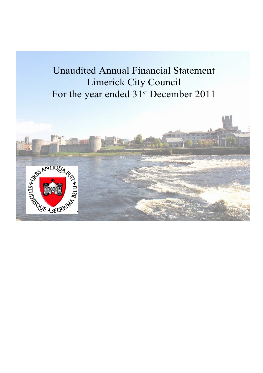# Unaudited Annual Financial Statement Limerick City Council For the year ended 31<sup>st</sup> December 2011

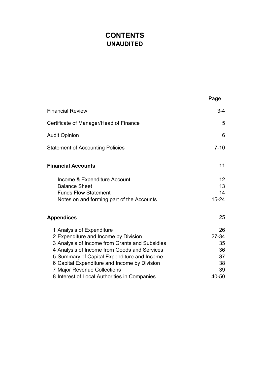# **CONTENTS UNAUDITED**

|                                                                                                                                                                                                                                                                                                                                                   | Page                                                   |
|---------------------------------------------------------------------------------------------------------------------------------------------------------------------------------------------------------------------------------------------------------------------------------------------------------------------------------------------------|--------------------------------------------------------|
| <b>Financial Review</b>                                                                                                                                                                                                                                                                                                                           | $3 - 4$                                                |
| Certificate of Manager/Head of Finance                                                                                                                                                                                                                                                                                                            | 5                                                      |
| <b>Audit Opinion</b>                                                                                                                                                                                                                                                                                                                              | 6                                                      |
| <b>Statement of Accounting Policies</b>                                                                                                                                                                                                                                                                                                           | $7 - 10$                                               |
| <b>Financial Accounts</b>                                                                                                                                                                                                                                                                                                                         | 11                                                     |
| Income & Expenditure Account<br><b>Balance Sheet</b><br><b>Funds Flow Statement</b><br>Notes on and forming part of the Accounts                                                                                                                                                                                                                  | 12<br>13<br>14<br>$15 - 24$                            |
| <b>Appendices</b>                                                                                                                                                                                                                                                                                                                                 | 25                                                     |
| 1 Analysis of Expenditure<br>2 Expenditure and Income by Division<br>3 Analysis of Income from Grants and Subsidies<br>4 Analysis of Income from Goods and Services<br>5 Summary of Capital Expenditure and Income<br>6 Capital Expenditure and Income by Division<br>7 Major Revenue Collections<br>8 Interest of Local Authorities in Companies | 26<br>$27 - 34$<br>35<br>36<br>37<br>38<br>39<br>40-50 |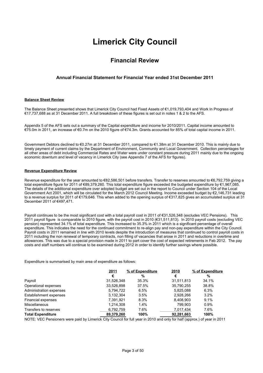# **Limerick City Council**

### **Financial Review**

#### **Annual Financial Statement for Financial Year ended 31st December 2011**

#### **Balance Sheet Review**

The Balance Sheet presented shows that Limerick City Council had Fixed Assets of €1,019,793,404 and Work In Progress of €17,737,688 as at 31 December 2011. A full breakdown of these figures is set out in notes 1 & 2 to the AFS.

Appendix 5 of the AFS sets out a summary of the Capital expenditure and income for 2010/2011. Capital income amounted to €75.0m in 2011, an increase of €0.7m on the 2010 figure of €74.3m. Grants accounted for 85% of total capital income in 2011.

Government Debtors declined to €0.27m at 31 December 2011, compared to €1.38m at 31 December 2010. This is mainly due to timely payment of current claims by the Department of Environment, Community and Local Government. Collection percentages for all other areas of debt including Commercial Rates and Water were under constant pressure during 2011 mainly due to the ongoing economic downturn and level of vacancy in Limerick City (see Appendix 7 of the AFS for figures).

#### **Revenue Expenditure Review**

Revenue expenditure for the year amounted to €82,586,501 before transfers. Transfer to reserves amounted to €6,792,759 giving a total expenditure figure for 2011 of €89,379,260. This total expenditure figure exceeded the budgeted expenditure by €1,967,085. The details of the additional expenditure over adopted budget are set out in the report to Council under Section 104 of the Local Government Act 2001, which will be circulated for the March 2012 Council Meeting. Income exceeded budget by €2,146,731 leading to a revenue surplus for 2011 of €179,646. This when added to the opening surplus of €317,825 gives an accumulated surplus at 31 December 2011 of €497,471.

Payroll continues to be the most significant cost with a total payroll cost in 2011 of €31,526,348 (excludes VEC Pensions). This 2011 payroll figure is comparable to 2010 figure, with the payroll cost in 2010 (€31,511,813). In 2010 payroll costs (excluding VEC pension) represented 34.1% of total expenditure. This increased to 35.3% in 2011 which is a significant percentage of overall expenditure. This indicates the need for the continued commitment to re-align pay and non-pay expenditure within the City Council. Payroll costs in 2011 remained in line with 2010 levels despite the introduction of measures that continued to control payroll costs in 2011 including the non renewal of temporary contracts, non filling of vacancies that arose in 2011 and reductions in overtime and allowances. This was due to a special provision made in 2011 to part cover the cost of expected retirements in Feb 2012. The pay costs and staff numbers will continue to be examined during 2012 in order to identify further savings where possible.

Expenditure is summarised by main area of expenditure as follows:

|                               | 2011       | % of Expenditure | 2010       | % of Expenditure |
|-------------------------------|------------|------------------|------------|------------------|
|                               | €          | %                | €          | %                |
| Payroll                       | 31,526,348 | 35.3%            | 31.511.813 | 34.1%            |
| Operational expenses          | 33,526,898 | 37.5%            | 35,790,255 | 38.8%            |
| Administration expenses       | 5,794,722  | 6.5%             | 5.825.088  | 6.3%             |
| <b>Establishment expenses</b> | 3.132.304  | 3.5%             | 2.928.266  | $3.2\%$          |
| Financial expenses            | 7,391,921  | 8.3%             | 8.408.903  | 9.1%             |
| Miscellaneous                 | 1,214,308  | 1.4%             | 799.903    | 0.9%             |
| Transfers to reserves         | 6,792,759  | 7.6%             | 7,017,434  | 7.6%             |
| <b>Total Expenditure</b>      | 89,379,260 | 100%             | 92,281,663 | 100%             |

NOTE: VEC Pensioners were paid by Limerick City Council for full year in 2010 and only for half (approx.) of year in 2011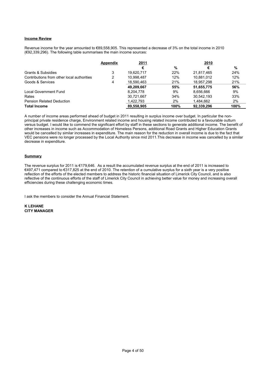#### **Income Review**

Revenue income for the year amounted to €89,558,905. This represented a decrease of 3% on the total income in 2010 (€92,339,296). The following table summarises the main income sources:

|                                            | Appendix | 2011       |       | 2010       |       |
|--------------------------------------------|----------|------------|-------|------------|-------|
|                                            |          | €          | %     | €          | %     |
| Grants & Subsidies                         | 3        | 19.620.717 | 22%   | 21.817.465 | 24%   |
| Contributions from other local authorities | 2        | 10.998.487 | 12%   | 10.881.012 | 12%   |
| Goods & Services                           | 4        | 18,590,463 | 21%   | 18.957.298 | 21%   |
|                                            |          | 49,209,667 | 55%   | 51.655.775 | 56%   |
| Local Government Fund                      |          | 8,204,778  | 9%    | 8.656.666  | 9%    |
| Rates                                      |          | 30,721,667 | 34%   | 30.542.193 | 33%   |
| <b>Pension Related Deduction</b>           |          | 1.422.793  | $2\%$ | 1.484.662  | $2\%$ |
| <b>Total Income</b>                        |          | 89,558,905 | 100%  | 92.339.296 | 100%  |

A number of income areas performed ahead of budget in 2011 resulting in surplus income over budget. In particular the nonprincipal private residence charge, Environment related income and housing related income contributed to a favourable outturn versus budget. I would like to commend the significant effort by staff in these sections to generate additional income. The benefit of other increases in income such as Accommodation of Homeless Persons, additional Road Grants and Higher Education Grants would be cancelled by similar increases in expenditure. The main reason for the reduction in overall income is due to the fact that VEC pensions were no longer processed by the Local Authority since mid 2011.This decrease in income was cancelled by a similar decrease in expenditure.

#### **Summary**

The revenue surplus for 2011 is €179,646. As a result the accumulated revenue surplus at the end of 2011 is increased to €497,471 compared to €317,825 at the end of 2010. The retention of a cumulative surplus for a sixth year is a very positive reflection of the efforts of the elected members to address the historic financial situation of Limerick City Council, and is also reflective of the continuous efforts of the staff of Limerick City Council in achieving better value for money and increasing overall efficiencies during these challenging economic times.

I ask the members to consider the Annual Financial Statement.

**K LEHANE CITY MANAGER**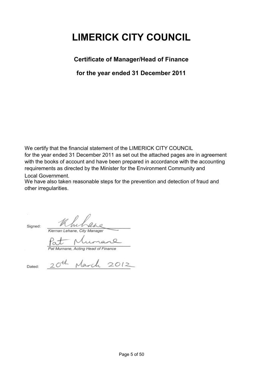# **LIMERICK CITY COUNCIL**

**Certificate of Manager/Head of Finance**

**for the year ended 31 December 2011**

We certify that the financial statement of the LIMERICK CITY COUNCIL for the year ended 31 December 2011 as set out the attached pages are in agreement with the books of account and have been prepared in accordance with the accounting requirements as directed by the Minister for the Environment Community and

Local Government.

We have also taken reasonable steps for the prevention and detection of fraud and other irregularities.

Signed:

*Kiernan Lehane, City Manager*

Kiernan Lehane, City Manager  $\sqrt{2}$ 

20th March 2012

*Pat Murnane, Acting Head of Finance*

Dated: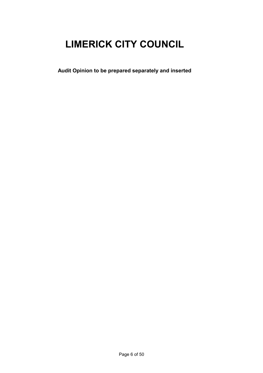# **LIMERICK CITY COUNCIL**

**Audit Opinion to be prepared separately and inserted**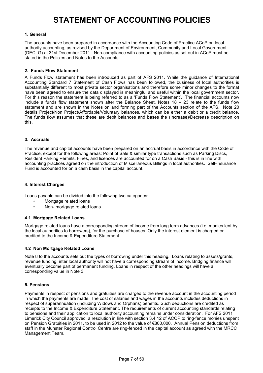# **STATEMENT OF ACCOUNTING POLICIES**

#### **1. General**

The accounts have been prepared in accordance with the Accounting Code of Practice ACoP on local authority accounting, as revised by the Department of Environment, Community and Local Government (DECLG) at 31st December 2011. Non-compliance with accounting policies as set out in ACoP must be stated in the Policies and Notes to the Accounts.

#### **2. Funds Flow Statement**

A Funds Flow statement has been introduced as part of AFS 2011. While the guidance of International Accounting Standard 7 Statement of Cash Flows has been followed, the business of local authorities is substantially different to most private sector organisations and therefore some minor changes to the format have been agreed to ensure the data displayed is meaningful and useful within the local government sector. For this reason the statement is being referred to as a 'Funds Flow Statement'. The financial accounts now include a funds flow statement shown after the Balance Sheet. Notes 18 – 23 relate to the funds flow statement and are shown in the Notes on and forming part of the Accounts section of the AFS. Note 20 details Project/Non Project/Affordable/Voluntary balances, which can be either a debit or a credit balance. The funds flow assumes that these are debit balances and bases the (Increase)/Decrease description on this.

#### **3. Accruals**

The revenue and capital accounts have been prepared on an accrual basis in accordance with the Code of Practice, except for the following areas: Point of Sale & similar type transactions such as Parking Discs, Resident Parking Permits, Fines, and licences are accounted for on a Cash Basis - this is in line with accounting practices agreed on the introduction of Miscellaneous Billings in local authorities. Self-insurance Fund is accounted for on a cash basis in the capital account.

#### **4. Interest Charges**

Loans payable can be divided into the following two categories:

- Mortgage related loans
- Non- mortgage related loans

#### **4.1 Mortgage Related Loans**

Mortgage related loans have a corresponding stream of income from long term advances (i.e. monies lent by the local authorities to borrowers), for the purchase of houses. Only the interest element is charged or credited to the Income & Expenditure Statement.

#### **4.2 Non Mortgage Related Loans**

Note 8 to the accounts sets out the types of borrowing under this heading. Loans relating to assets/grants, revenue funding, inter local authority will not have a corresponding stream of income. Bridging finance will eventually become part of permanent funding. Loans in respect of the other headings will have a corresponding value in Note 3.

#### **5. Pensions**

 Payments in respect of pensions and gratuities are charged to the revenue account in the accounting period in which the payments are made. The cost of salaries and wages in the accounts includes deductions in respect of superannuation (including Widows and Orphans) benefits. Such deductions are credited as receipts to the Income & Expenditure Statement. The requirements of current accounting standards relating to pensions and their application to local authority accounting remains under consideration. For AFS 2011 Limerick City Council approved a resolution in line with section 3.4.12 of ACOP to ring-fence monies unspent on Pension Gratuities in 2011, to be used in 2012 to the value of €800,000. Annual Pension deductions from staff in the Munster Regional Control Centre are ring-fenced in the capital account as agreed with the MRCC Management Team.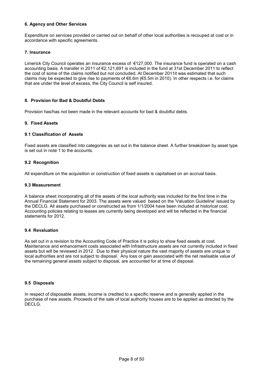#### **6. Agency and Other Services**

Expenditure on services provided or carried out on behalf of other local authorities is recouped at cost or in accordance with specific agreements.

#### **7. Insurance**

Limerick City Council operates an insurance excess of €127,000. The insurance fund is operated on a cash accounting basis. A transfer in 2011 of €2,121,691 is included in the fund at 31st December 2011 to reflect the cost of some of the claims notified but not concluded. At December 2011it was estimated that such claims may be expected to give rise to payments of €6.6m (€5.5m in 2010). In other respects i.e. for claims that are under the level of excess, the City Council is self insured.

#### **8. Provision for Bad & Doubtful Debts**

Provision has/has not been made in the relevant accounts for bad & doubtful debts.

#### **9. Fixed Assets**

#### **9.1 Classification of Assets**

Fixed assets are classified into categories as set out in the balance sheet. A further breakdown by asset type is set out in note 1 to the accounts.

#### **9.2 Recognition**

All expenditure on the acquisition or construction of fixed assets is capitalised on an accrual basis.

#### **9.3 Measurement**

A balance sheet incorporating all of the assets of the local authority was included for the first time in the Annual Financial Statement for 2003. The assets were valued based on the 'Valuation Guideline' issued by the DECLG. All assets purchased or constructed as from 1/1/2004 have been included at historical cost. Accounting policies relating to leases are currently being developed and will be reflected in the financial statements for 2012.

#### **9.4 Revaluation**

As set out in a revision to the Accounting Code of Practice it is policy to show fixed assets at cost. Maintenance and enhancement costs associated with Infrastructure assets are not currently included in fixed assets but will be reviewed in 2012. Due to their physical nature the vast majority of assets are unique to local authorities and are not subject to disposal. Any loss or gain associated with the net realisable value of the remaining general assets subject to disposal, are accounted for at time of disposal.

#### **9.5 Disposals**

In respect of disposable assets, income is credited to a specific reserve and is generally applied in the purchase of new assets. Proceeds of the sale of local authority houses are to be applied as directed by the DECLG.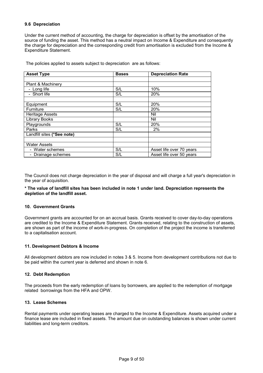#### **9.6 Depreciation**

Under the current method of accounting, the charge for depreciation is offset by the amortisation of the source of funding the asset. This method has a neutral impact on Income & Expenditure and consequently the charge for depreciation and the corresponding credit from amortisation is excluded from the Income & Expenditure Statement.

| <b>Asset Type</b>                            | <b>Bases</b> | <b>Depreciation Rate</b> |
|----------------------------------------------|--------------|--------------------------|
|                                              |              |                          |
| Plant & Machinery                            |              |                          |
| - Long life                                  | S/L          | 10%                      |
| - Short life                                 | S/L          | 20%                      |
|                                              |              |                          |
| Equipment                                    | S/L          | 20%                      |
| Furniture                                    | S/L          | 20%                      |
| <b>Heritage Assets</b>                       |              | Nil                      |
| Library Books                                |              | Nil                      |
| Playgrounds                                  | S/L          | 20%                      |
| Parks                                        | S/L          | 2%                       |
| Landfill sites (*See note)                   |              |                          |
|                                              |              |                          |
| <b>Water Assets</b>                          |              |                          |
| - Water schemes                              | S/L          | Asset life over 70 years |
| Drainage schemes<br>$\overline{\phantom{0}}$ | S/L          | Asset life over 50 years |

The policies applied to assets subject to depreciation are as follows:

The Council does not charge depreciation in the year of disposal and will charge a full year's depreciation in the year of acquisition.

#### **\* The value of landfill sites has been included in note 1 under land. Depreciation represents the depletion of the landfill asset.**

#### **10. Government Grants**

Government grants are accounted for on an accrual basis. Grants received to cover day-to-day operations are credited to the Income & Expenditure Statement. Grants received, relating to the construction of assets, are shown as part of the income of work-in-progress. On completion of the project the income is transferred to a capitalisation account.

#### **11. Development Debtors & Income**

All development debtors are now included in notes 3 & 5. Income from development contributions not due to be paid within the current year is deferred and shown in note 6.

#### **12. Debt Redemption**

The proceeds from the early redemption of loans by borrowers, are applied to the redemption of mortgage related borrowings from the HFA and OPW.

#### **13. Lease Schemes**

Rental payments under operating leases are charged to the Income & Expenditure. Assets acquired under a finance lease are included in fixed assets. The amount due on outstanding balances is shown under current liabilities and long-term creditors.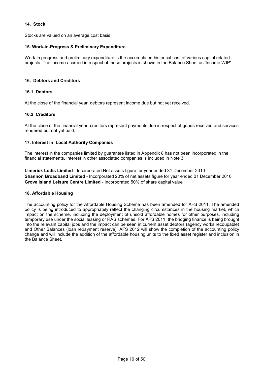#### **14. Stock**

Stocks are valued on an average cost basis.

#### **15. Work-in-Progress & Preliminary Expenditure**

Work-in progress and preliminary expenditure is the accumulated historical cost of various capital related projects. The income accrued in respect of these projects is shown in the Balance Sheet as 'Income WIP'.

#### **16. Debtors and Creditors**

#### **16.1 Debtors**

At the close of the financial year, debtors represent income due but not yet received.

#### **16.2 Creditors**

At the close of the financial year, creditors represent payments due in respect of goods received and services rendered but not yet paid.

#### **17. Interest in Local Authority Companies**

The interest in the companies limited by guarantee listed in Appendix 8 has not been incorporated in the financial statements. Interest in other associated companies is included in Note 3.

**Limerick Lodis Limited** - Incorporated Net assets figure for year ended 31 December 2010 **Shannon Broadband Limited** - Incorporated 20% of net assets figure for year ended 31 December 2010 **Grove Island Leisure Centre Limited** - Incorporated 50% of share capital value

#### **18. Affordable Housing**

The accounting policy for the Affordable Housing Scheme has been amended for AFS 2011. The amended policy is being introduced to appropriately reflect the changing circumstances in the housing market, which impact on the scheme, including the deployment of unsold affordable homes for other purposes, including temporary use under the social leasing or RAS schemes. For AFS 2011, the bridging finance is being brought into the relevant capital jobs and the impact can be seen in current asset debtors (agency works recoupable) and Other Balances (loan repayment reserve). AFS 2012 will show the completion of the accounting policy change and will include the addition of the affordable housing units to the fixed asset register and inclusion in the Balance Sheet.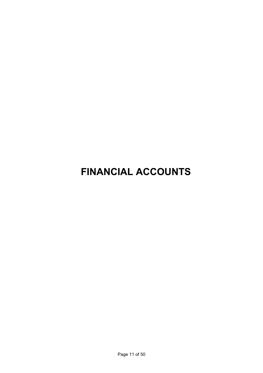# **FINANCIAL ACCOUNTS**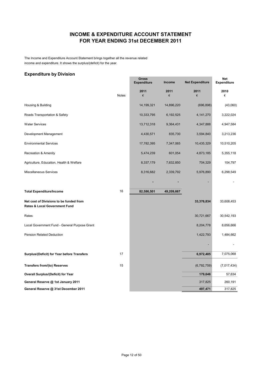### **INCOME & EXPENDITURE ACCOUNT STATEMENT FOR YEAR ENDING 31st DECEMBER 2011**

The Income and Expenditure Account Statement brings together all the revenue related income and expenditure. It shows the surplus/(deficit) for the year.

#### **Expenditure by Division**

|                                                                          |              | <b>Gross</b>       |               |                        | <b>Net</b>         |
|--------------------------------------------------------------------------|--------------|--------------------|---------------|------------------------|--------------------|
|                                                                          |              | <b>Expenditure</b> | <b>Income</b> | <b>Net Expenditure</b> | <b>Expenditure</b> |
|                                                                          | <b>Notes</b> | 2011<br>€          | 2011<br>€     | 2011<br>€              | 2010<br>€          |
|                                                                          |              |                    |               |                        |                    |
| Housing & Building                                                       |              | 14,199,321         | 14,896,220    | (696, 898)             | (43,060)           |
| Roads Transportation & Safety                                            |              | 10,333,795         | 6,192,525     | 4,141,270              | 3,222,024          |
| <b>Water Services</b>                                                    |              | 13,712,318         | 9,364,431     | 4,347,888              | 4,947,584          |
| Development Management                                                   |              | 4,430,571          | 835,730       | 3,594,840              | 3,213,236          |
| <b>Environmental Services</b>                                            |              | 17,782,395         | 7,347,065     | 10,435,329             | 10,510,205         |
| Recreation & Amenity                                                     |              | 5,474,239          | 601,054       | 4,873,185              | 5,355,118          |
| Agriculture, Education, Health & Welfare                                 |              | 8,337,179          | 7,632,850     | 704,329                | 104,797            |
| Miscellaneous Services                                                   |              | 8,316,682          | 2,339,792     | 5,976,890              | 6,298,549          |
|                                                                          |              |                    |               |                        |                    |
| <b>Total Expenditure/Income</b>                                          | 16           | 82,586,501         | 49,209,667    |                        |                    |
| Net cost of Divisions to be funded from<br>Rates & Local Government Fund |              |                    |               | 33,376,834             | 33,608,453         |
| Rates                                                                    |              |                    |               | 30,721,667             | 30,542,193         |
| Local Government Fund - General Purpose Grant                            |              |                    |               | 8,204,778              | 8,656,666          |
| Pension Related Deduction                                                |              |                    |               | 1,422,793              | 1,484,662          |
|                                                                          |              |                    |               |                        |                    |
| Surplus/(Deficit) for Year before Transfers                              | 17           |                    |               | 6,972,405              | 7,075,068          |
| <b>Transfers from/(to) Reserves</b>                                      | 15           |                    |               | (6,792,759)            | (7,017,434)        |
| <b>Overall Surplus/(Deficit) for Year</b>                                |              |                    |               | 179,646                | 57,634             |
| General Reserve @ 1st January 2011                                       |              |                    |               | 317,825                | 260,191            |
| General Reserve @ 31st December 2011                                     |              |                    |               | 497,471                | 317,825            |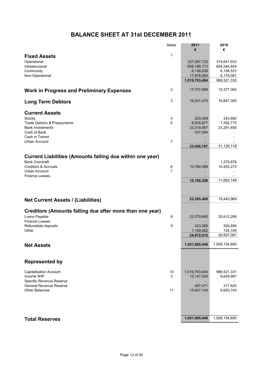# **BALANCE SHEET AT 31st DECEMBER 2011**

|                                                                  | <b>Notes</b>        | 2011                 | 2010          |
|------------------------------------------------------------------|---------------------|----------------------|---------------|
| <b>Fixed Assets</b>                                              | 1                   | €                    | €             |
| Operational                                                      |                     | 337,587,132          | 319,641,933   |
| Infrastructural                                                  |                     | 658,190,173          | 654,544,804   |
| Community                                                        |                     | 6,138,038            | 6,156,531     |
| Non-Operational                                                  |                     | 17,878,060           | 8,178,061     |
|                                                                  |                     | 1,019,793,404        | 988,521,330   |
| <b>Work in Progress and Preliminary Expenses</b>                 | $\overline{2}$      | 17,737,688           | 10,377,382    |
| <b>Long Term Debtors</b>                                         | 3                   | 16,241,470           | 16,647,300    |
| <b>Current Assets</b><br><b>Stocks</b>                           |                     |                      | 243,692       |
| Trade Debtors & Prepayments                                      | 4<br>5              | 253,459<br>8,935,977 | 7,592,775     |
| <b>Bank Investments</b>                                          |                     | 23,319,067           | 23,291,650    |
| Cash at Bank                                                     |                     | 537,294              |               |
| Cash in Transit<br><b>Urban Account</b>                          | $\overline{7}$      |                      |               |
|                                                                  |                     | 33,045,797           | 31,128,118    |
|                                                                  |                     |                      |               |
| <b>Current Liabilities (Amounts falling due within one year)</b> |                     |                      |               |
| <b>Bank Overdraft</b>                                            |                     |                      | 1,279,876     |
| <b>Creditors &amp; Accruals</b><br>Urban Account                 | 6<br>$\overline{7}$ | 10,760,398           | 10,402,273    |
| <b>Finance Leases</b>                                            |                     |                      |               |
|                                                                  |                     | 10,760,398           | 11,682,148    |
|                                                                  |                     |                      |               |
| <b>Net Current Assets / (Liabilities)</b>                        |                     | 22,285,400           | 19,445,969    |
| Creditors (Amounts falling due after more than one year)         |                     |                      |               |
| Loans Payable                                                    | 8                   | 23,379,665           | 25,612,289    |
| <b>Finance Leases</b>                                            |                     |                      |               |
| Refundable deposits                                              | 9                   | 423,265              | 500,694       |
| Other                                                            |                     | 1,169,082            | 724,104       |
|                                                                  |                     | 24,972,012           | 26,837,087    |
| <b>Net Assets</b>                                                |                     | 1,051,085,949        | 1,008,154,895 |
|                                                                  |                     |                      |               |
| <b>Represented by</b>                                            |                     |                      |               |
| <b>Capitalisation Account</b>                                    | 10                  | 1,019,793,404        | 988,521,331   |
| Income WIP                                                       | $\overline{2}$      | 15,147,930           | 9,659,997     |
| Specific Revenue Reserve<br><b>General Revenue Reserve</b>       |                     | 497,471              | 317,825       |
| <b>Other Balances</b>                                            | 11                  | 15,647,144           | 9,655,743     |
|                                                                  |                     |                      |               |
|                                                                  |                     |                      |               |
| <b>Total Reserves</b>                                            |                     | 1,051,085,949        | 1,008,154,895 |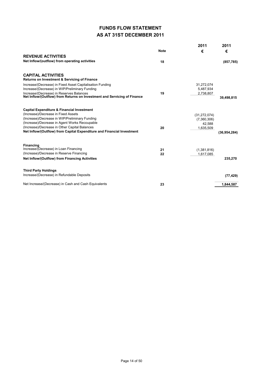# **FUNDS FLOW STATEMENT AS AT 31ST DECEMBER 2011**

|                                                                           | <b>Note</b> | 2011<br>€      | 2011<br>€    |
|---------------------------------------------------------------------------|-------------|----------------|--------------|
| <b>REVENUE ACTIVITIES</b>                                                 |             |                |              |
| Net Inflow/(outflow) from operating activities                            | 18          |                | (857, 785)   |
| <b>CAPITAL ACTIVITIES</b><br>Returns on Investment & Servicing of Finance |             |                |              |
| Increase/(Decrease) in Fixed Asset Capitalisation Funding                 |             | 31,272,074     |              |
| Increase/(Decrease) in WIP/Preliminary Funding                            |             | 5,487,934      |              |
| Increase/(Decrease) in Reserves Balances                                  | 19          | 2,738,807      |              |
| Net Inflow/(Outflow) from Returns on Investment and Servicing of Finance  |             |                | 39,498,815   |
| <b>Capital Expenditure &amp; Financial Investment</b>                     |             |                |              |
| (Increase)/Decrease in Fixed Assets                                       |             | (31, 272, 074) |              |
| (Increase)/Decrease in WIP/Preliminary Funding                            |             | (7,360,306)    |              |
| (Increase)/Decrease in Agent Works Recoupable                             |             | 42.588         |              |
| (Increase)/Decrease in Other Capital Balances                             | 20          | 1,635,509      |              |
| Net Inflow/(Outflow) from Capital Expenditure and Financial Investment    |             |                | (36.954.284) |
| <b>Financing</b>                                                          |             |                |              |
| Increase/(Decrease) in Loan Financing                                     | 21          | (1,381,816)    |              |
| (Increase)/Decrease in Reserve Financing                                  | 22          | 1,617,085      |              |
| <b>Net Inflow/(Outflow) from Financing Activities</b>                     |             |                | 235,270      |
| <b>Third Party Holdings</b>                                               |             |                |              |
| Increase/(Decrease) in Refundable Deposits                                |             |                | (77, 429)    |
| Net Increase/(Decrease) in Cash and Cash Equivalents                      | 23          |                | 1.844.587    |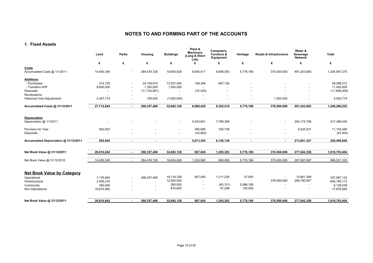#### **1. Fixed Assets**

|                                                    | Land                  | Parks                    | Housing                             | <b>Buildings</b>                                     | Plant &<br><b>Machinery</b><br>(Long & Short<br>Life) | Computers,<br>Furniture &<br>Equipment | Heritage                              | Roads & Infrastructure   | Water &<br>Sewerage<br><b>Network</b> | <b>Total</b>            |
|----------------------------------------------------|-----------------------|--------------------------|-------------------------------------|------------------------------------------------------|-------------------------------------------------------|----------------------------------------|---------------------------------------|--------------------------|---------------------------------------|-------------------------|
|                                                    | €                     | €                        | €                                   | €                                                    | €                                                     | €                                      | €                                     | €                        | €                                     | €                       |
| Costs<br>Accumulated Costs @ 1/1/2011              | 14,450,345            |                          | 284,476,726                         | 19,654,628                                           | 6,645,411                                             | 8,658,393                              | 5,778,189                             | 375,000,000              | 491,243,683                           | 1,205,907,375           |
| <b>Additions</b><br>- Purchased                    | 314,725               | $\overline{\phantom{a}}$ | 24,159,815                          | 13,037,500                                           | 109,346                                               | 667,126                                |                                       |                          |                                       | 38,288,512              |
| - Transfers WIP                                    | 8,600,000             | $\overline{\phantom{a}}$ | 1,350,000                           | 1,500,000                                            |                                                       |                                        |                                       |                          |                                       | 11,450,000              |
| <b>Disposals</b>                                   |                       | $\overline{\phantom{a}}$ | (11, 734, 081)                      |                                                      | (74, 329)                                             |                                        |                                       |                          |                                       | (11,808,409)            |
| Revaluations<br><b>Historical Cost Adjustments</b> | 4,347,774             | $\overline{\phantom{a}}$ | $\overline{\phantom{a}}$<br>105,000 | (1,500,000)                                          |                                                       |                                        | $\overline{a}$                        | 1,500,000                |                                       | 4,452,774               |
| Accumulated Costs @ 31/12/2011                     | 27,712,844            | $\sim$                   | 298,357,460                         | 32,692,128                                           | 6,680,428                                             | 9,325,519                              | 5,778,189                             | 376,500,000              | 491,243,683                           | 1,248,290,252           |
| <b>Depreciation</b>                                |                       |                          |                                     |                                                      |                                                       |                                        |                                       |                          |                                       |                         |
| Depreciation @ 1/1/2011                            |                       |                          |                                     | $\overline{\phantom{a}}$                             | 5,420,851                                             | 7,789,398                              |                                       |                          | 204,175,796                           | 217,386,045             |
| Provision for Year<br>Disposals                    | 902,002               |                          |                                     | $\overline{\phantom{a}}$<br>$\overline{\phantom{a}}$ | 495,995<br>(43, 463)                                  | 330,738                                |                                       |                          | 9,425,531<br>$\overline{\phantom{a}}$ | 11,154,266<br>(43, 463) |
| Accumulated Depreciation @ 31/12/2011              | 902,002               |                          |                                     | ۰                                                    | 5,873,383                                             | 8,120,136                              |                                       | $\sim$                   | 213,601,327                           | 228,496,848             |
| Net Book Value @ 31/12/2011                        | 26,810,842            | $\overline{\phantom{a}}$ | 298,357,460                         | 32,692,128                                           | 807,045                                               | 1,205,383                              | 5,778,189                             | 376,500,000              | 277,642,356                           | 1,019,793,404           |
| Net Book Value @ 31/12/2010                        | 14,450,345            | $\overline{\phantom{a}}$ | 284,476,726                         | 19,654,628                                           | 1,224,560                                             | 868,995                                | 5,778,189                             | 375,000,000              | 287,067,887                           | 988,521,330             |
| <b>Net Book Value by Category</b>                  |                       |                          |                                     |                                                      |                                                       |                                        |                                       |                          |                                       |                         |
| Operational                                        | 7,176,664             | $\overline{\phantom{a}}$ | 298,357,460                         | 19,116,328                                           | 807,045                                               | 1,211,236                              | 57,000                                | $\overline{\phantom{a}}$ | 10,861,399                            | 337,587,132             |
| Infrastructural                                    | 2,409,216             |                          | $\overline{\phantom{a}}$            | 12,500,000<br>265,000                                | $\overline{\phantom{a}}$                              | $\overline{\phantom{a}}$<br>(63, 151)  | $\overline{\phantom{a}}$<br>5,586,189 | 376,500,000              | 266,780,957                           | 658,190,173             |
| Community<br>Non-Operational                       | 350,000<br>16,874,962 |                          | $\overline{\phantom{a}}$            | 810,800                                              |                                                       | 57,298                                 | 135,000                               |                          |                                       | 6,138,038<br>17,878,060 |
| Net Book Value @ 31/12/2011                        | 26,810,842            |                          | 298,357,460                         | 32,692,128                                           | 807,045                                               | 1,205,383                              | 5,778,189                             | 376,500,000              | 277,642,356                           | 1,019,793,404           |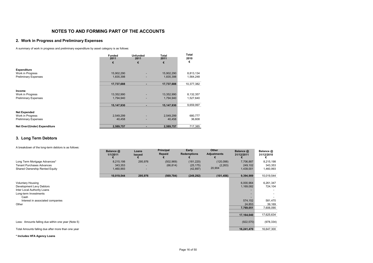#### **2. Work in Progress and Preliminary Expenses**

A summary of work in progress and preliminary expenditure by asset category is as follows:

|                              | <b>Funded</b><br>2011 | <b>Unfunded</b><br>2011 | Total<br>2011 | Total<br>2010 |
|------------------------------|-----------------------|-------------------------|---------------|---------------|
|                              | €                     | €                       | €             | €             |
| <b>Expenditure</b>           |                       |                         |               |               |
| Work in Progress             | 15,902,290            |                         | 15,902,290    | 8,813,134     |
| <b>Preliminary Expenses</b>  | 1,835,398             |                         | 1,835,398     | 1,564,248     |
|                              | 17,737,688            | ٠                       | 17,737,688    | 10,377,382    |
| Income                       |                       |                         |               |               |
| Work in Progress             | 13,352,990            |                         | 13,352,990    | 8,132,357     |
| <b>Preliminary Expenses</b>  | 1,794,940             |                         | 1,794,940     | 1,527,640     |
|                              | 15,147,930            | ۰                       | 15,147,930    | 9,659,997     |
| <b>Net Expended</b>          |                       |                         |               |               |
| Work in Progress             | 2,549,299             |                         | 2,549,299     | 680,777       |
| <b>Preliminary Expenses</b>  | 40,458                | ٠                       | 40,458        | 36,608        |
| Net Over/(Under) Expenditure | 2,589,757             |                         | 2,589,757     | 717,385       |

#### **3. Long Term Debtors**

A breakdown of the long-term debtors is as follows:

|                                                                                                                                                                   | Balance @<br>1/1/2011 | Loans<br><b>Issued</b> | Principal<br>Repaid | Early<br>Redemptions | Other<br><b>Adjustments</b> | Balance @<br>31/12/2011                                                | Balance @<br>31/12/2010                                              |
|-------------------------------------------------------------------------------------------------------------------------------------------------------------------|-----------------------|------------------------|---------------------|----------------------|-----------------------------|------------------------------------------------------------------------|----------------------------------------------------------------------|
| Long Term Mortgage Advances*                                                                                                                                      | 8,215,198             | 295,976                | (502, 969)          | (181, 220)           | (120,098)                   | 7,706,887                                                              | 8,215,198                                                            |
| <b>Tenant Purchases Advances</b>                                                                                                                                  | 343,353               |                        | (66, 814)           | (25, 175)            | (2, 263)<br>20,904          | 249,102                                                                | 343,353                                                              |
| Shared Ownership Rented Equity                                                                                                                                    | 1,460,993             |                        |                     | (42, 897)            |                             | 1,439,001                                                              | 1,460,993                                                            |
|                                                                                                                                                                   | 10,019,544            | 295,976                | (569, 784)          | (249, 292)           | (101, 456)                  | 9,394,989                                                              | 10,019,544                                                           |
| <b>Voluntary Housing</b><br>Development Levy Debtors<br>Inter Local Authority Loans<br>Long-term Investments<br>Cash<br>Interest in associated companies<br>Other |                       |                        |                     |                      |                             | 6,000,964<br>1,169,082<br>574,152<br>24,853<br>7,769,051<br>17,164,040 | 6,261,347<br>724,104<br>581,470<br>39,169<br>7,606,090<br>17,625,634 |
| Less: Amounts falling due within one year (Note 5)                                                                                                                |                       |                        |                     |                      |                             | (922, 570)                                                             | (978, 334)                                                           |
| Total Amounts falling due after more than one year                                                                                                                |                       |                        |                     |                      |                             | 16,241,470                                                             | 16,647,300                                                           |

**\* Includes HFA Agency Loans**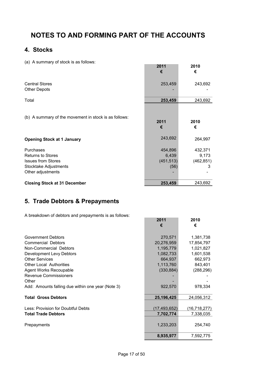# **4. Stocks**

(a) A summary of stock is as follows:

| (a) A summary or stock is as rollows.                                                      | 2011<br>€            | 2010<br>€            |
|--------------------------------------------------------------------------------------------|----------------------|----------------------|
| <b>Central Stores</b><br><b>Other Depots</b>                                               | 253,459              | 243,692              |
| Total                                                                                      | 253,459              | 243,692              |
| (b) A summary of the movement in stock is as follows:<br><b>Opening Stock at 1 January</b> | 2011<br>€<br>243,692 | 2010<br>€<br>264,997 |
|                                                                                            |                      |                      |
| Purchases                                                                                  | 454,896              | 432,371              |
| <b>Returns to Stores</b>                                                                   | 6,439                | 9,173                |
| <b>Issues from Stores</b>                                                                  | (451, 513)           | (462, 851)           |
| Stocktake Adjustments                                                                      | (56)                 | 3                    |
| Other adjustments                                                                          |                      |                      |
| <b>Closing Stock at 31 December</b>                                                        | 253,459              | 243,692              |

# **5. Trade Debtors & Prepayments**

A breakdown of debtors and prepayments is as follows:

|                                                   | €            | €              |
|---------------------------------------------------|--------------|----------------|
| Government Debtors                                | 270,571      | 1,381,738      |
| <b>Commercial Debtors</b>                         | 20,276,959   | 17,854,797     |
| Non-Commercial Debtors                            | 1,195,779    | 1,021,827      |
| Development Levy Debtors                          | 1,082,733    | 1,601,538      |
| <b>Other Services</b>                             | 664,937      | 662,973        |
| <b>Other Local Authorities</b>                    | 1,113,760    | 843,401        |
| Agent Works Recoupable                            | (330, 884)   | (288, 296)     |
| <b>Revenue Commissioners</b>                      |              |                |
| Other                                             |              |                |
| Add: Amounts falling due within one year (Note 3) | 922,570      | 978,334        |
| <b>Total Gross Debtors</b>                        | 25, 196, 425 | 24,056,312     |
| Less: Provision for Doubtful Debts                | (17,493,652) | (16, 718, 277) |
| <b>Total Trade Debtors</b>                        | 7,702,774    | 7,338,035      |
| Prepayments                                       | 1,233,203    | 254,740        |
|                                                   | 8,935,977    | 7,592,775      |

**2011 2010**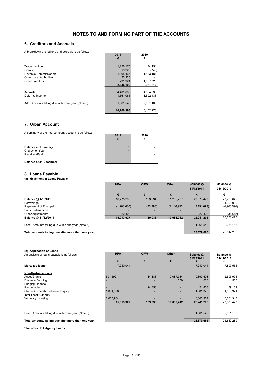#### **6. Creditors and Accruals**

A breakdown of creditors and accruals is as follows:

| A DICANDOWLI OF CICUITOLS ALIU ACCIUAIS IS AS IUIIOWS. |            |            |
|--------------------------------------------------------|------------|------------|
|                                                        | 2011       | 2010       |
|                                                        | €          | €          |
|                                                        |            |            |
| Trade creditors                                        | 1,256,175  | 474.154    |
| Grants                                                 | 19.223     | (740)      |
| Revenue Commissioners                                  | 1,305,465  | 1,133,181  |
| <b>Other Local Authorities</b>                         | 23.325     |            |
| <b>Other Creditors</b>                                 | 231.921    | 1,057,723  |
|                                                        | 2.836.109  | 2.664.317  |
|                                                        |            |            |
| Accruals                                               | 4.401.688  | 4.084.335  |
| Deferred Income                                        | 1.661.061  | 1.592.433  |
|                                                        |            |            |
| Add: Amounts falling due within one year (Note 8)      | 1,861,540  | 2,061,188  |
|                                                        |            |            |
|                                                        | 10,760,398 | 10.402.273 |

#### **7. Urban Account**

| A summary of the Intercompany account is as follows:            | 2011<br>€ | 2010<br>€ |
|-----------------------------------------------------------------|-----------|-----------|
| <b>Balance at 1 January</b><br>Charge for Year<br>Received/Paid | -         |           |
| <b>Balance at 31 December</b>                                   |           |           |

#### **8. Loans Payable**

**(a) Movement in Loans Payable**

|                                                    | <b>HFA</b>    | <b>OPW</b> |             | Balance @   | Balance @   |  |
|----------------------------------------------------|---------------|------------|-------------|-------------|-------------|--|
|                                                    |               |            |             | 31/12/2011  | 31/12/2010  |  |
|                                                    | €             |            |             | €           | €           |  |
| Balance @ 1/1/2011                                 | 16.275.206    | 163.034    | 11.235.237  | 27,673,477  | 27,708,642  |  |
| <b>Borrowings</b>                                  |               |            |             |             | 4,900,000   |  |
| Repayment of Principal                             | (1, 283, 686) | (23,998)   | (1.146.995) | (2,454,679) | (4,900,594) |  |
| Early Redemptions                                  |               |            |             |             |             |  |
| <b>Other Adjustments</b>                           | 22,408        |            |             | 22,408      | (34, 572)   |  |
| Balance @ 31/12/2011                               | 15.013.927    | 139.036    | 10.088.242  | 25.241.205  | 27,673,477  |  |
| Less: Amounts falling due within one year (Note 6) |               |            |             | 1.861.540   | 2,061,188   |  |
| Total Amounts falling due after more than one year |               |            |             | 23.379.665  | 25.612.289  |  |

| (b) Application of Loans<br>An analysis of loans payable is as follows: | <b>HFA</b> | <b>OPW</b> | Other      | Balance @<br>31/12/2011 | Balance @<br>31/12/2010 |
|-------------------------------------------------------------------------|------------|------------|------------|-------------------------|-------------------------|
|                                                                         | €          | €          | €          |                         | €                       |
| Mortgage loans*                                                         | 7,240,044  |            |            | 7,240,044               | 7,807,556               |
| Non-Mortgage loans                                                      |            |            |            |                         |                         |
| Asset/Grants                                                            | 691,592    | 114,183    | 10,087,734 | 10,893,508              | 12,505,976              |
| Revenue Funding                                                         |            |            | 508        | 508                     | 508                     |
| <b>Bridging Finance</b>                                                 |            |            |            |                         |                         |
| Recoupable                                                              |            | 24,853     |            | 24,853                  | 39.169                  |
| Shared Ownership - Rented Equity                                        | 1,081,328  |            |            | 1,081,328               | 1,058,921               |
| Inter-Local Authority                                                   |            |            |            |                         |                         |
| Voluntary housing                                                       | 6,000,964  |            |            | 6,000,964               | 6,261,347               |
|                                                                         | 15,013,927 | 139,036    | 10.088.242 | 25,241,205              | 27,673,477              |
|                                                                         |            |            |            |                         |                         |
| Less: Amounts falling due within one year (Note 6)                      |            |            |            | 1,861,540               | 2,061,188               |
| Total Amounts falling due after more than one year                      |            |            |            | 23,379,665              | 25.612.289              |

**\* Includes HFA Agency Loans**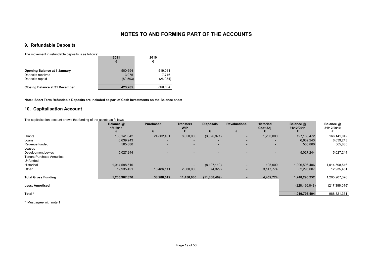#### **9. Refundable Deposits**

The movement in refundable deposits is as follows:

| THE INVESTIGATION IS AS TURNS.                           | 2011<br>€        | 2010<br>€        |
|----------------------------------------------------------|------------------|------------------|
| <b>Opening Balance at 1 January</b><br>Deposits received | 500,694<br>3.075 | 519,011<br>7.716 |
| Deposits repaid                                          | (80, 503)        | (26, 034)        |
| <b>Closing Balance at 31 December</b>                    | 423.265          | 500.694          |

**Note: Short Term Refundable Deposits are included as part of Cash Investments on the Balance sheet**

#### **10. Capitalisation Account**

The capitalisation account shows the funding of the assets as follows:

|                                  | Balance @<br>1/1/2011 | <b>Purchased</b> | <b>Transfers</b><br><b>WIP</b> | <b>Disposals</b> | <b>Revaluations</b>      | <b>Historical</b><br><b>Cost Adj</b> | Balance @<br>31/12/2011 | Balance @<br>31/12/2010 |
|----------------------------------|-----------------------|------------------|--------------------------------|------------------|--------------------------|--------------------------------------|-------------------------|-------------------------|
|                                  |                       | €                |                                |                  | €                        |                                      |                         |                         |
| Grants                           | 166,141,042           | 24,802,401       | 8,650,000                      | (3,626,971)      | ٠                        | 1,200,000                            | 197, 166, 472           | 166,141,042             |
| Loans                            | 6,639,243             |                  | -                              |                  | ۰                        |                                      | 6,639,243               | 6,639,243               |
| Revenue funded                   | 565,880               | ۰                | ۰                              | ۰.               | $\overline{\phantom{0}}$ |                                      | 565,880                 | 565,880                 |
| Leases                           |                       | -                |                                |                  | -                        |                                      |                         |                         |
| Development Levies               | 5,027,244             | ۰                | $\overline{\phantom{0}}$       |                  | ٠                        |                                      | 5,027,244               | 5,027,244               |
| <b>Tenant Purchase Annuities</b> |                       |                  | -                              | -                | ٠                        |                                      |                         |                         |
| Unfunded                         |                       |                  |                                |                  | ٠                        |                                      |                         |                         |
| Historical                       | 1,014,598,516         |                  | $\overline{\phantom{0}}$       | (8, 107, 110)    | ٠                        | 105,000                              | 1,006,596,406           | 1,014,598,516           |
| Other                            | 12,935,451            | 13,486,111       | 2,800,000                      | (74, 329)        | ٠                        | 3,147,774                            | 32,295,007              | 12,935,451              |
| <b>Total Gross Funding</b>       | 1,205,907,376         | 38,288,512       | 11,450,000                     | (11,808,409)     |                          | 4,452,774                            | 1,248,290,252           | 1,205,907,376           |
| <b>Less: Amortised</b>           |                       |                  |                                |                  |                          |                                      | (228, 496, 848)         | (217, 386, 045)         |
| Total *                          |                       |                  |                                |                  |                          |                                      | 1,019,793,404           | 988,521,331             |

\* Must agree with note 1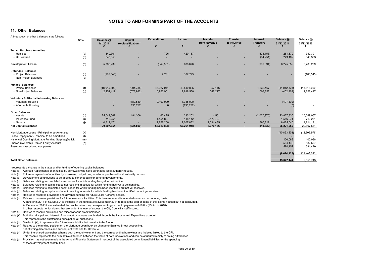#### **11. Other Balances**

A breakdown of other balances is as follows:

|                                                       | Note | Balance @<br>1/1/2011 | Capital<br>re-classification * | <b>Expenditure</b><br>€ | Income<br>€ | <b>Transfer</b><br>from Revenue | <b>Transfer</b><br>to Revenue | Internal<br><b>Transfers</b> | Balance @<br>31/12/2011 | Balance @<br>31/12/2010 |
|-------------------------------------------------------|------|-----------------------|--------------------------------|-------------------------|-------------|---------------------------------|-------------------------------|------------------------------|-------------------------|-------------------------|
| <b>Tenant Purchase Annuities</b>                      |      |                       |                                |                         |             |                                 |                               |                              |                         |                         |
| - Realised                                            | (a)  | 340,301               |                                | 726                     | 420,157     |                                 |                               | (508, 153)                   | 251,579                 | 340,301                 |
| - UnRealised                                          | (b)  | 343,353               |                                |                         |             |                                 |                               | (94, 251)                    | 249,102                 | 343,353                 |
| <b>Development Levies</b>                             | (c)  | 5,783,239             |                                | (849, 531)              | 638,676     |                                 |                               | (996, 094)                   | 6,275,352               | 5,783,239               |
| <b>Unfunded Balances</b>                              |      |                       |                                |                         |             |                                 |                               |                              |                         |                         |
| - Project Balances                                    | (d)  | (185, 545)            |                                | 2,231                   | 187,775     |                                 |                               |                              |                         | (185, 545)              |
| - Non-Project Balances                                | (e)  |                       |                                |                         |             |                                 |                               |                              |                         |                         |
| <b>Funded Balances</b>                                |      |                       |                                |                         |             |                                 |                               |                              |                         |                         |
| - Project Balances                                    | (f)  | (18,615,600)          | (294, 735)                     | 45,027,911              | 48,540,835  | 52,116                          |                               | 1,332,467                    | (14, 012, 828)          | (18,615,600)            |
| - Non-Project Balances                                | (g)  | 2,252,417             | (673, 982)                     | 15,956,961              | 12,818,530  | 548,277                         |                               | 608,858                      | (402, 862)              | 2,252,417               |
| <b>Voluntary &amp; Affordable Housing Balances</b>    |      |                       |                                |                         |             |                                 |                               |                              |                         |                         |
| - Voluntary Housing                                   |      |                       | (182, 530)                     | 2,100,000               | 1,785,000   |                                 |                               |                              | (497, 530)              |                         |
| - Affordable Housing                                  |      |                       | 135,292                        | 0                       | (135, 292)  |                                 |                               |                              | (0)                     |                         |
| <b>Other Balances</b>                                 |      |                       |                                |                         |             |                                 |                               |                              |                         |                         |
| - Assets                                              | (h)  | 25,549,067            | 181,356                        | 162,425                 | 283,262     | 4,551                           |                               | (2,027,975)                  | 23,827,836              | 25,549,067              |
| - Insurance Fund                                      | (i)  | 716,251               |                                | 1,454,827               | 118,142     | 2,176,707                       |                               |                              | 1,556,274               | 716,251                 |
| - General                                             | (j)  | 4.714.171             |                                | 2,758,258               | 2,607,832   | 2,594,485                       | $\sim$                        | 866.817                      | 8,025,046               | 4,714,171               |
| <b>Net Capital Balances</b>                           |      | 20,897,654            | (834, 599)                     | 66,613,808              | 67,264,918  | 5,376,136                       | $\sim$                        | (818, 332)                   | 25,271,969              | 20,897,654              |
| Non-Mortgage Loans - Principal to be Amortised        | (k)  |                       |                                |                         |             |                                 |                               |                              | (10,893,508)            | (12, 505, 976)          |
| Lease Repayment - Principal to be Amortised           | (1)  |                       |                                |                         |             |                                 |                               |                              |                         |                         |
| Historical Opening Mortgage Funding Surplus/(Deficit) | (m)  |                       |                                |                         |             |                                 |                               |                              | 100,088                 | 100,088                 |
| Shared Ownership Rented Equity Account                | (n)  |                       |                                |                         |             |                                 |                               |                              | 594,443                 | 582,507                 |
| Reserves - associated companies                       |      |                       |                                |                         |             |                                 |                               |                              | 574,152                 | 581,470                 |

#### **Total Other Balances 15,647,144** 9,655,743

**\*** represents a change in the status and/or funding of opening capital balances

- Note (a) Accrued Repayments of annuities by borrowers who have purchased local authority houses.
- Note (b) Future repayments of annuities by borrowers, not yet due, who have purchased local authority houses.
- Note (c) Development contributions to be applied to either specific or general developments.
- Note (d) Balances relating to completed asset codes for which funding has yet to be identified.
- Note (e) Balances relating to capital codes not resulting in assets for which funding has yet to be identified.
- Note (f) Balances relating to completed asset codes for which funding has been identified but not yet received.
- Note (g) Balances relating to capital codes not resulting in assets for which funding has been identified but not yet received.
- Note (h) Relates to reserves provisions and advance funding for future Local Authority assets.
- Note (i) Relates to reserves provisions for future insurance liabilities. This insurance fund is operated on a cash accounting basis. A transfer in 2011 of €2,121,691 is included in the fund at 31st December 2011 to reflect the cost of some of the claims notified but not concluded. At December 2011it was estimated that such claims may be expected to give rise to payments of €6.6m (€5.5m in 2010). In other respects i.e. for claims that are under the level of excess, the City Council is self insured.
- Note (j) Relates to reserve provisions and miscellaneous credit balances.
- Note (k) Both the principal and interest of non–mortgage loans are funded through the Income and Expenditure account. This represents the outstanding principal on all such loans.
- Note (I) Similar to (k), it represents the future lease liability that remains to be funded.
- Note (m) Relates to the funding position on the Mortgage Loan book on change to Balance Sheet accounting, net of timing differences and subsequent write offs to Revenue.
- Note (n) Under the shared ownership scheme both the equity element and the corresponding borrowings are indexed linked to the CPI. This reserve represents the cumulative difference between the value of both indexations and can be attributed mainly to timing differences.
- Note (o) Provision has not been made in the Annual Financial Statement in respect of the associated commitment/liabilities for the spending of these development contributions.

 **(9,624,825)** (11,241,911)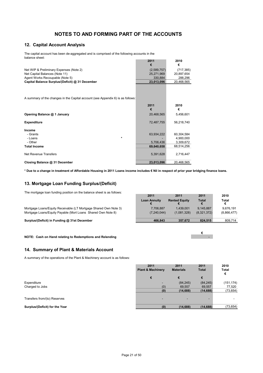#### **12. Capital Account Analysis**

The capital account has been de-aggregated and is comprised of the following accounts in the balance sheet:

|                                                 | 2011        | 2010       |
|-------------------------------------------------|-------------|------------|
|                                                 |             |            |
| Net WIP & Preliminary Expenses (Note 2)         | (2,589,757) | (717.385)  |
| Net Capital Balances (Note 11)                  | 25.271.969  | 20.897.654 |
| Agent Works Recoupable (Note 5)                 | 330.884     | 288.296    |
| Capital Balance Surplus/(Deficit) @ 31 December | 23.013.096  | 20.468.565 |
|                                                 |             |            |

A summary of the changes in the Capital account (see Appendix 6) is as follows:

|                               | 2011<br>€  | 2010<br>€  |
|-------------------------------|------------|------------|
| Opening Balance @ 1 January   | 20,468,565 | 5,456,601  |
| <b>Expenditure</b>            | 72,487,755 | 56,218,740 |
| Income                        |            |            |
| - Grants                      | 63,934,222 | 60,304,584 |
| $\ast$<br>- Loans             |            | 4,900,000  |
| - Other                       | 5,706,436  | 3,309,672  |
| <b>Total Income</b>           | 69,640,658 | 68,514,256 |
|                               |            |            |
| Net Revenue Transfers         | 5,391,628  | 2,716,447  |
| Closing Balance @ 31 December | 23,013,096 | 20.468.565 |

**\* Due to a change in treatment of Affordable Housing in 2011 Loans income includes € Nil in respect of prior year bridging finance loans.**

#### **13. Mortgage Loan Funding Surplus/(Deficit)**

The mortgage loan funding position on the balance sheet is as follows:

Mortgage Loans/Equity Receivable (LT Mortgage Shared Own Note 3) Mortgage Loans/Equity Payable (Mort Loans Shared Own Note 8)

**Surplus/(Deficit) in Funding @ 31st December** 

| 2011                     | 2011                     | 2011                     | 2010                     |
|--------------------------|--------------------------|--------------------------|--------------------------|
| <b>Loan Annuity</b>      | <b>Rented Equity</b>     | <b>Total</b>             | Total<br>€               |
| 7,706,887<br>(7,240,044) | 1.439.001<br>(1,081,328) | 9,145,887<br>(8,321,372) | 9,676,191<br>(8,866,477) |
| 466,843                  | 357,672                  | 824,515                  | 809,714                  |

 **€**  -

**NOTE: Cash on Hand relating to Redemptions and Relending**

#### **14. Summary of Plant & Materials Account**

A summary of the operations of the Plant & Machinery account is as follows:

|                                | 2011<br><b>Plant &amp; Machinery</b> | 2011<br><b>Materials</b> | 2011<br><b>Total</b> | 2010<br><b>Total</b><br>€ |
|--------------------------------|--------------------------------------|--------------------------|----------------------|---------------------------|
|                                | €                                    | €                        | €                    |                           |
| Expenditure                    |                                      | (84, 245)                | (84, 245)            | (151, 174)                |
| Charged to Jobs                | (0)                                  | 69,557                   | 69,557               | 77,520                    |
|                                | (0)                                  | (14, 688)                | (14, 688)            | (73, 654)                 |
| Transfers from/(to) Reserves   |                                      |                          |                      |                           |
| Surplus/(Deficit) for the Year | (0)                                  | (14, 688)                | (14, 688)            | (73, 654)                 |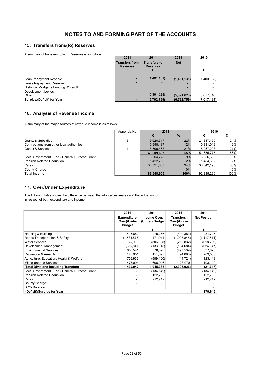#### **15. Transfers from/(to) Reserves**

A summary of transfers to/from Reserves is as follows:

| 2011<br><b>Transfers from</b> | 2011<br><b>Transfers to</b> | 2011<br><b>Net</b> | 2010        |
|-------------------------------|-----------------------------|--------------------|-------------|
|                               |                             | €                  | €           |
|                               | (1,401,131)                 | (1,401,131)        | (1,400,388) |
|                               |                             |                    |             |
|                               |                             |                    |             |
|                               |                             |                    |             |
|                               | (5,391,628)                 | (5,391,628)        | (5,617,046) |
|                               | (6,792,759)                 | (6,792,759)        | (7,017,434) |
|                               | <b>Reserves</b>             | <b>Reserves</b>    |             |

#### **16. Analysis of Revenue Income**

A summary of the major sources of revenue income is as follows:

|                                               | Appendix No | 2011       |       | 2010       |       |
|-----------------------------------------------|-------------|------------|-------|------------|-------|
|                                               |             |            | $\%$  |            | %     |
| Grants & Subsidies                            | 3           | 19,620,717 | 22%   | 21,817,465 | 24%   |
| Contributions from other local authorities    |             | 10,998,487 | 12%   | 10.881.012 | 12%   |
| Goods & Services                              | 4           | 18,590,463 | 21%   | 18.957.298 | 21%   |
|                                               |             | 49.209.667 | 55%   | 51.655.775 | 56%   |
| Local Government Fund - General Purpose Grant |             | 8,204,778  | 9%    | 8.656.666  | 9%    |
| <b>Pension Related Deduction</b>              |             | 1.422.793  | 2%    | 1.484.662  | 2%    |
| Rates                                         |             | 30,721,667 | 34%   | 30,542,193 | 33%   |
| County Charge                                 |             |            | $0\%$ |            | $0\%$ |
| <b>Total Income</b>                           |             | 89.558.905 | 100%  | 92.339.296 | 100%  |

#### **17. Over/Under Expenditure**

in respect of both expenditure and income: The following table shows the difference between the adopted estimates and the actual outturn

|                                               | 2011                                                | 2011                           | 2011                                              | 2011                |
|-----------------------------------------------|-----------------------------------------------------|--------------------------------|---------------------------------------------------|---------------------|
|                                               | <b>Expenditure</b><br>(Over)/Under<br><b>Budget</b> | Income Over/<br>(Under) Budget | <b>Transfers</b><br>(Over)/Under<br><b>Budget</b> | <b>Net Position</b> |
|                                               | €                                                   | €                              | €                                                 | €                   |
| Housing & Building                            | 415,852                                             | 275,256                        | (409, 383)                                        | 281,725             |
| Roads Transportation & Safety                 | (1,585,577)                                         | 1,471,914                      | (1,003,848)                                       | (1, 117, 511)       |
| <b>Water Services</b>                         | (75,009)                                            | (306,928)                      | (236, 832)                                        | (618, 769)          |
| Development Management                        | (356,847)                                           | (133, 315)                     | (134, 684)                                        | (624, 847)          |
| Environmental Services                        | 656,541                                             | 378,870                        | (497,539)                                         | 537,873             |
| Recreation & Amenity                          | 145,951                                             | 151,695                        | (94,086)                                          | 203,560             |
| Agriculture, Education, Health & Welfare      | 756,936                                             | (589,100)                      | (44, 724)                                         | 123,113             |
| Miscellaneous Services                        | 473,094                                             | 696,946                        | 23,070                                            | 1,193,110           |
| <b>Total Divisions Including Transfers</b>    | 430,942                                             | 1,945,338                      | (2,398,026)                                       | (21, 747)           |
| Local Government Fund - General Purpose Grant |                                                     | (134, 142)                     |                                                   | (134, 142)          |
| Pension Related Deduction                     |                                                     | 122,793                        |                                                   | 122,793             |
| Rates                                         |                                                     | 212,742                        |                                                   | 212,742             |
| County Charge                                 |                                                     |                                |                                                   |                     |
| Dr/Cr Balance                                 |                                                     |                                |                                                   |                     |
| (Deficit)/Surplus for Year                    |                                                     |                                |                                                   | 179.646             |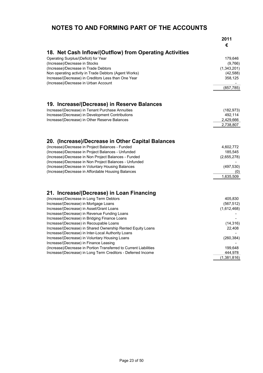|                                                                   | 2011             |
|-------------------------------------------------------------------|------------------|
|                                                                   | €                |
| 18. Net Cash Inflow/(Outflow) from Operating Activities           |                  |
| Operating Surplus/(Deficit) for Year                              | 179,646          |
| (Increase)/Decrease in Stocks                                     | (9,766)          |
| (Increase)/Decrease in Trade Debtors                              | (1,343,201)      |
| Non operating activity in Trade Debtors (Agent Works)             | (42, 588)        |
| Increase/(Decrease) in Creditors Less than One Year               | 358,125          |
| (Increase)/Decrease in Urban Account                              |                  |
|                                                                   | (857, 785)       |
| 19. Increase/(Decrease) in Reserve Balances                       |                  |
| Increase/(Decrease) in Tenant Purchase Annuities                  | (182, 973)       |
| Increase/(Decrease) in Development Contributions                  | 492,114          |
| Increase/(Decrease) in Other Reserve Balances                     | 2,429,666        |
|                                                                   | 2,738,807        |
|                                                                   |                  |
| 20. (Increase)/Decrease in Other Capital Balances                 |                  |
| (Increase)/Decrease in Project Balances - Funded                  | 4,602,772        |
| (Increase)/Decrease in Project Balances - Unfunded                | 185,545          |
| (Increase)/Decrease in Non Project Balances - Funded              | (2,655,278)      |
| (Increase)/Decrease in Non Project Balances - Unfunded            |                  |
| (Increase)/Decrease in Voluntary Housing Balances                 | (497, 530)       |
| (Increase)/Decrease in Affordable Housing Balances                | (0)<br>1,635,509 |
|                                                                   |                  |
| 21. Increase/(Decrease) in Loan Financing                         |                  |
| (Increase)/Decrease in Long Term Debtors                          | 405,830          |
| Increase/(Decrease) in Mortgage Loans                             | (567, 512)       |
| Increase/(Decrease) in Asset/Grant Loans                          | (1,612,468)      |
| Increase/(Decrease) in Revenue Funding Loans                      |                  |
| Increase/(Decrease) in Bridging Finance Loans                     |                  |
| Increase/(Decrease) in Recoupable Loans                           | (14, 316)        |
| Increase/(Decrease) in Shared Ownership Rented Equity Loans       | 22,408           |
| Increase/(Decrease) in Inter-Local Authority Loans                |                  |
| Increase/(Decrease) in Voluntary Housing Loans                    | (260, 384)       |
| Increase/(Decrease) in Finance Leasing                            |                  |
| (Increase)/Decrease in Portion Transferred to Current Liabilities | 199,648          |
| Increase/(Decrease) in Long Term Creditors - Deferred Income      | 444,978          |
|                                                                   | (1,381,816)      |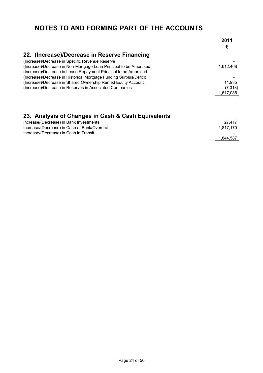|                                                                    | 2011<br>€ |
|--------------------------------------------------------------------|-----------|
| 22. (Increase)/Decrease in Reserve Financing                       |           |
| (Increase)/Decrease in Specific Revenue Reserve                    |           |
| (Increase)/Decrease in Non-Mortgage Loan Principal to be Amortised | 1.612.468 |
| (Increase)/Decrease in Lease Repayment Principal to be Amortised   |           |
| (Increase)/Decrease in Historical Mortgage Funding Surplus/Deficit |           |
| (Increase)/Decrease in Shared Ownership Rented Equity Account      | 11,935    |
| (Increase)/Decrease in Reserves in Associated Companies            | (7,318)   |
|                                                                    | 1,617,085 |
|                                                                    |           |

# **23. Analysis of Changes in Cash & Cash Equivalents**

| Increase/(Decrease) in Bank Investments       | 27.417                   |
|-----------------------------------------------|--------------------------|
| Increase/(Decrease) in Cash at Bank/Overdraft | 1.817.170                |
| Increase/(Decrease) in Cash in Transit        | $\overline{\phantom{a}}$ |
|                                               | 1.844.587                |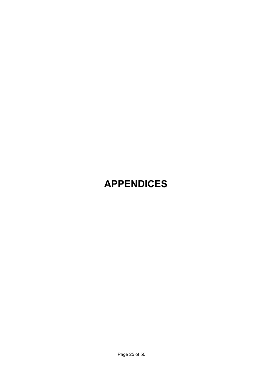# **APPENDICES**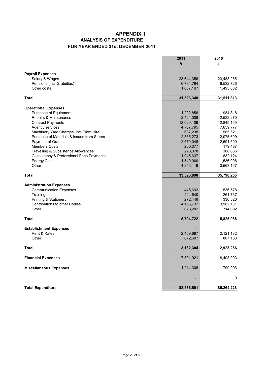### **APPENDIX 1 ANALYSIS OF EXPENDITURE FOR YEAR ENDED 31st DECEMBER 2011**

|                                                     | 2011        | 2010       |
|-----------------------------------------------------|-------------|------------|
|                                                     | €           | €          |
|                                                     |             |            |
| <b>Payroll Expenses</b>                             |             |            |
| Salary & Wages                                      | 23,644,356  | 23,483,285 |
| Pensions (incl Gratuities)                          | 6,794,794   | 6,532,726  |
| Other costs                                         | 1,087,197   | 1,495,802  |
| Total                                               | 31,526,348  | 31,511,813 |
| <b>Operational Expenses</b>                         |             |            |
| Purchase of Equipment                               | 1,222,856   | 984,818    |
| Repairs & Maintenance                               | 2,424,008   | 2,522,270  |
| <b>Contract Payments</b>                            | 12,020,109  | 12,845,169 |
| Agency services                                     | 4,767,795   | 7,659,777  |
| Machinery Yard Charges incl Plant Hire              | 687,238     | 585,521    |
| Purchase of Materials & Issues from Stores          | 2,555,273   | 2,075,699  |
| Payment of Grants                                   | 2,579,048   | 2,691,590  |
| <b>Members Costs</b>                                | 200,377     | 179,487    |
| Travelling & Subsistence Allowances                 | 228,378     | 308,636    |
| <b>Consultancy &amp; Professional Fees Payments</b> | 1,045,637   | 832,124    |
| <b>Energy Costs</b>                                 | 1,540,060   | 1,536,998  |
| Other                                               | 4,256,119   | 3,568,167  |
| <b>Total</b>                                        | 33,526,898  | 35,790,255 |
|                                                     |             |            |
| <b>Administration Expenses</b>                      |             |            |
| <b>Communication Expenses</b>                       | 445,693     | 536,578    |
| Training                                            | 244,640     | 261,737    |
| Printing & Stationery                               | 272,449     | 330,520    |
| <b>Contributions to other Bodies</b>                | 4, 153, 737 | 3,982,161  |
| Other                                               | 678,202     | 714,092    |
| <b>Total</b>                                        | 5,794,722   | 5,825,088  |
|                                                     |             |            |
| <b>Establishment Expenses</b>                       |             |            |
| Rent & Rates                                        | 2,459,697   | 2,121,132  |
| Other                                               | 672,607     | 807,133    |
| <b>Total</b>                                        | 3,132,304   | 2,928,266  |
| <b>Financial Expenses</b>                           | 7,391,921   | 8,408,903  |
|                                                     |             | 799,903    |
| <b>Miscellaneous Expenses</b>                       | 1,214,308   |            |
|                                                     |             | 0          |
| <b>Total Expenditure</b>                            | 82,586,501  | 85,264,228 |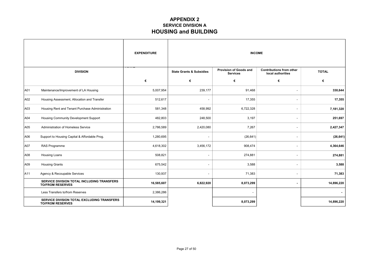### **APPENDIX 2 SERVICE DIVISION A HOUSING and BUILDING**

|     |                                                                       | <b>EXPENDITURE</b> | <b>INCOME</b>                       |                                           |                                                      |              |
|-----|-----------------------------------------------------------------------|--------------------|-------------------------------------|-------------------------------------------|------------------------------------------------------|--------------|
|     | <b>DIVISION</b>                                                       |                    | <b>State Grants &amp; Subsidies</b> | Provision of Goods and<br><b>Services</b> | <b>Contributions from other</b><br>local authorities | <b>TOTAL</b> |
|     |                                                                       | €                  | €                                   | €                                         | €                                                    | €            |
| A01 | Maintenance/Improvement of LA Housing                                 | 5,007,954          | 239,177                             | 91,468                                    | $\blacksquare$                                       | 330,644      |
| A02 | Housing Assessment, Allocation and Transfer                           | 512,617            | ٠                                   | 17,355                                    | $\blacksquare$                                       | 17,355       |
| A03 | Housing Rent and Tenant Purchase Administration                       | 581,348            | 458,992                             | 6,722,328                                 | $\blacksquare$                                       | 7,181,320    |
| A04 | Housing Community Development Support                                 | 482,803            | 248,500                             | 3,197                                     | ۰                                                    | 251,697      |
| A05 | Administration of Homeless Service                                    | 2,786,589          | 2,420,080                           | 7,267                                     | $\overline{\phantom{a}}$                             | 2,427,347    |
| A06 | Support to Housing Capital & Affordable Prog.                         | 1,280,695          |                                     | (26, 641)                                 | $\overline{\phantom{a}}$                             | (26, 641)    |
| A07 | RAS Programme                                                         | 4,618,302          | 3,456,172                           | 908,474                                   | $\overline{\phantom{a}}$                             | 4,364,646    |
| A08 | Housing Loans                                                         | 508,821            | $\overline{\phantom{0}}$            | 274,881                                   | $\blacksquare$                                       | 274,881      |
| A09 | <b>Housing Grants</b>                                                 | 675,542            | $\overline{a}$                      | 3,588                                     | ٠                                                    | 3,588        |
| A11 | Agency & Recoupable Services                                          | 130,937            |                                     | 71,383                                    | $\overline{\phantom{a}}$                             | 71,383       |
|     | SERVICE DIVISION TOTAL INCLUDING TRANSFERS<br><b>TO/FROM RESERVES</b> | 16,585,607         | 6,822,920                           | 8,073,299                                 | $\blacksquare$                                       | 14,896,220   |
|     | Less Transfers to/from Reserves                                       | 2,386,286          |                                     | ۰.                                        |                                                      |              |
|     | SERVICE DIVISION TOTAL EXCLUDING TRANSFERS<br><b>TO/FROM RESERVES</b> | 14,199,321         |                                     | 8,073,299                                 |                                                      | 14,896,220   |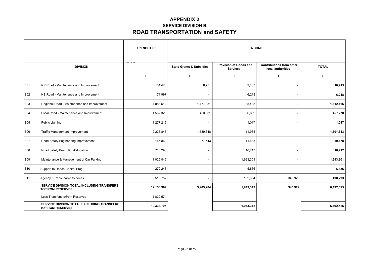### **APPENDIX 2 SERVICE DIVISION B ROAD TRANSPORTATION and SAFETY**

|            |                                                                       | <b>EXPENDITURE</b> | <b>INCOME</b>                       |                                                  |                                                      |              |
|------------|-----------------------------------------------------------------------|--------------------|-------------------------------------|--------------------------------------------------|------------------------------------------------------|--------------|
|            | <b>DIVISION</b>                                                       |                    | <b>State Grants &amp; Subsidies</b> | <b>Provision of Goods and</b><br><b>Services</b> | <b>Contributions from other</b><br>local authorities | <b>TOTAL</b> |
|            |                                                                       | €                  | €                                   | €                                                | €                                                    | €            |
| B01        | NP Road - Maintenance and Improvement                                 | 131,473            | 8,731                               | 2,183                                            | $\overline{\phantom{a}}$                             | 10,915       |
| B02        | NS Road - Maintenance and Improvement                                 | 171,997            |                                     | 6,218                                            | $\overline{\phantom{a}}$                             | 6,218        |
| <b>B03</b> | Regional Road - Maintenance and Improvement                           | 4,088,512          | 1,777,031                           | 35,435                                           | $\overline{\phantom{a}}$                             | 1,812,466    |
| <b>B04</b> | Local Road - Maintenance and Improvement                              | 1,562,325          | 450,631                             | 6,639                                            | $\blacksquare$                                       | 457,270      |
| <b>B05</b> | <b>Public Lighting</b>                                                | 1,277,219          | $\overline{\phantom{a}}$            | 1,017                                            | $\overline{\phantom{a}}$                             | 1,017        |
| <b>B06</b> | Traffic Management Improvement                                        | 2,226,843          | 1,589,348                           | 11,965                                           | $\overline{\phantom{a}}$                             | 1,601,313    |
| B07        | Road Safety Engineering Improvement                                   | 166,862            | 77,543                              | 11,635                                           | $\overline{\phantom{a}}$                             | 89,178       |
| <b>B08</b> | Road Safety Promotion/Education                                       | 716,298            | $\overline{\phantom{a}}$            | 16,217                                           | $\sim$                                               | 16,217       |
| B09        | Maintenance & Management of Car Parking                               | 1,026,846          | $\overline{\phantom{0}}$            | 1,693,301                                        | $\overline{\phantom{a}}$                             | 1,693,301    |
| B10        | Support to Roads Capital Prog.                                        | 272,243            | $\overline{\phantom{a}}$            | 5,836                                            | $\blacksquare$                                       | 5,836        |
| B11        | Agency & Recoupable Services                                          | 515,752            | $\overline{\phantom{a}}$            | 152,864                                          | 345,929                                              | 498,793      |
|            | SERVICE DIVISION TOTAL INCLUDING TRANSFERS<br><b>TO/FROM RESERVES</b> | 12,156,369         | 3,903,284                           | 1,943,312                                        | 345,929                                              | 6,192,525    |
|            | Less Transfers to/from Reserves                                       | 1,822,574          |                                     |                                                  |                                                      |              |
|            | SERVICE DIVISION TOTAL EXCLUDING TRANSFERS<br><b>TO/FROM RESERVES</b> | 10,333,795         |                                     | 1,943,312                                        |                                                      | 6,192,525    |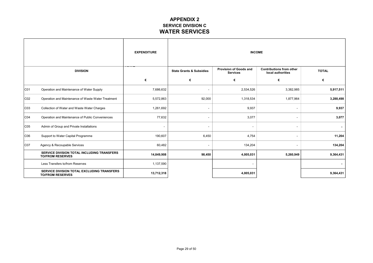### **APPENDIX 2 SERVICE DIVISION C WATER SERVICES**

|     |                                                                       | <b>EXPENDITURE</b>       | <b>INCOME</b>                       |                                                  |                                                      |              |
|-----|-----------------------------------------------------------------------|--------------------------|-------------------------------------|--------------------------------------------------|------------------------------------------------------|--------------|
|     | <b>DIVISION</b>                                                       |                          | <b>State Grants &amp; Subsidies</b> | <b>Provision of Goods and</b><br><b>Services</b> | <b>Contributions from other</b><br>local authorities | <b>TOTAL</b> |
|     |                                                                       | €                        | €                                   | €                                                | €                                                    | €            |
| CO1 | Operation and Maintenance of Water Supply                             | 7,686,632                | $\overline{\phantom{a}}$            | 2,534,526                                        | 3,382,985                                            | 5,917,511    |
| CO2 | Operation and Maintenance of Waste Water Treatment                    | 5,572,863                | 92,000                              | 1,318,534                                        | 1,877,964                                            | 3,288,498    |
| CO3 | Collection of Water and Waste Water Charges                           | 1,261,692                | $\overline{\phantom{a}}$            | 9,937                                            | $\overline{a}$                                       | 9,937        |
| CO4 | Operation and Maintenance of Public Conveniences                      | 77,632                   | $\overline{\phantom{a}}$            | 3,077                                            | $\overline{a}$                                       | 3,077        |
| CO5 | Admin of Group and Private Installations                              | $\overline{\phantom{a}}$ | ۰                                   |                                                  | ٠                                                    |              |
| C06 | Support to Water Capital Programme                                    | 190,607                  | 6,450                               | 4,754                                            | $\overline{\phantom{a}}$                             | 11,204       |
| CO7 | Agency & Recoupable Services                                          | 60,482                   | ٠                                   | 134,204                                          |                                                      | 134,204      |
|     | SERVICE DIVISION TOTAL INCLUDING TRANSFERS<br><b>TO/FROM RESERVES</b> | 14,849,908               | 98,450                              | 4,005,031                                        | 5,260,949                                            | 9,364,431    |
|     | Less Transfers to/from Reserves                                       | 1,137,590                |                                     |                                                  |                                                      |              |
|     | SERVICE DIVISION TOTAL EXCLUDING TRANSFERS<br><b>TO/FROM RESERVES</b> | 13,712,318               |                                     | 4,005,031                                        |                                                      | 9,364,431    |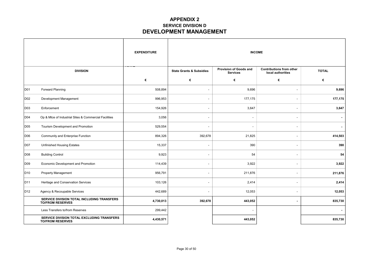### **APPENDIX 2 SERVICE DIVISION D DEVELOPMENT MANAGEMENT**

 $\overline{\phantom{a}}$ 

|                 |                                                                       | <b>EXPENDITURE</b> | <b>INCOME</b>                       |                                           |                                                      |              |
|-----------------|-----------------------------------------------------------------------|--------------------|-------------------------------------|-------------------------------------------|------------------------------------------------------|--------------|
|                 | <b>DIVISION</b>                                                       |                    | <b>State Grants &amp; Subsidies</b> | Provision of Goods and<br><b>Services</b> | <b>Contributions from other</b><br>local authorities | <b>TOTAL</b> |
|                 |                                                                       | €                  | €                                   | €                                         | €                                                    | €            |
| D01             | Forward Planning                                                      | 508,894            | $\overline{\phantom{a}}$            | 9,696                                     | ٠                                                    | 9,696        |
| D <sub>02</sub> | Development Management                                                | 996,953            | $\overline{\phantom{a}}$            | 177,175                                   | $\overline{\phantom{a}}$                             | 177,175      |
| D03             | Enforcement                                                           | 154,926            | $\overline{\phantom{a}}$            | 3,647                                     | $\blacksquare$                                       | 3,647        |
| D04             | Op & Mtce of Industrial Sites & Commercial Facilities                 | 3,056              | $\qquad \qquad \blacksquare$        | $\overline{\phantom{a}}$                  | $\overline{\phantom{a}}$                             |              |
| D <sub>05</sub> | Tourism Development and Promotion                                     | 529,554            | $\overline{\phantom{a}}$            |                                           | $\overline{\phantom{a}}$                             |              |
| D06             | Community and Enterprise Function                                     | 894,326            | 392,678                             | 21,825                                    | ٠                                                    | 414,503      |
| D07             | <b>Unfinished Housing Estates</b>                                     | 15,337             | L.                                  | 390                                       | $\sim$                                               | 390          |
| D08             | <b>Building Control</b>                                               | 9,923              | $\overline{\phantom{a}}$            | 54                                        | $\overline{\phantom{a}}$                             | 54           |
| D09             | Economic Development and Promotion                                    | 114,439            | $\overline{\phantom{a}}$            | 3,922                                     | $\overline{\phantom{a}}$                             | 3,922        |
| D <sub>10</sub> | Property Management                                                   | 956,791            | $\overline{\phantom{a}}$            | 211,876                                   | $\overline{\phantom{a}}$                             | 211,876      |
| D <sub>11</sub> | Heritage and Conservation Services                                    | 103,126            | $\overline{\phantom{a}}$            | 2,414                                     | $\overline{a}$                                       | 2,414        |
| D <sub>12</sub> | Agency & Recoupable Services                                          | 442,689            | $\overline{\phantom{a}}$            | 12,053                                    | $\overline{\phantom{a}}$                             | 12,053       |
|                 | SERVICE DIVISION TOTAL INCLUDING TRANSFERS<br><b>TO/FROM RESERVES</b> | 4,730,013          | 392,678                             | 443,052                                   | $\blacksquare$                                       | 835,730      |
|                 | Less Transfers to/from Reserves                                       | 299,442            |                                     |                                           |                                                      |              |
|                 | SERVICE DIVISION TOTAL EXCLUDING TRANSFERS<br><b>TO/FROM RESERVES</b> | 4,430,571          |                                     | 443,052                                   |                                                      | 835,730      |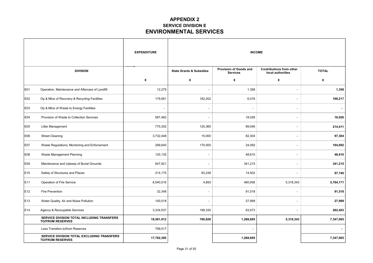### **APPENDIX 2 SERVICE DIVISION E ENVIRONMENTAL SERVICES**

 $\overline{\phantom{a}}$ 

|     |                                                                       | <b>EXPENDITURE</b> | <b>INCOME</b>                       |                                           |                                                      |              |
|-----|-----------------------------------------------------------------------|--------------------|-------------------------------------|-------------------------------------------|------------------------------------------------------|--------------|
|     | <b>DIVISION</b>                                                       |                    | <b>State Grants &amp; Subsidies</b> | Provision of Goods and<br><b>Services</b> | <b>Contributions from other</b><br>local authorities | <b>TOTAL</b> |
|     |                                                                       | €                  | €                                   | €                                         | €                                                    | €            |
| E01 | Operation, Maintenance and Aftercare of Landfill                      | 12,279             | $\overline{a}$                      | 1,358                                     | $\overline{a}$                                       | 1,358        |
| E02 | Op & Mtce of Recovery & Recycling Facilities                          | 179,561            | 162,202                             | 6,016                                     | $\overline{\phantom{a}}$                             | 168,217      |
| E03 | Op & Mtce of Waste to Energy Facilities                               |                    | L,                                  | ٠                                         | $\overline{\phantom{a}}$                             | $\sim$       |
| E04 | Provision of Waste to Collection Services                             | 587,482            | ۰                                   | 18,026                                    | $\overline{a}$                                       | 18,026       |
| E05 | Litter Management                                                     | 775,352            | 125,365                             | 89,046                                    | $\overline{\phantom{a}}$                             | 214,411      |
| E06 | <b>Street Cleaning</b>                                                | 3,732,448          | 15,000                              | 82,304                                    | $\overline{\phantom{a}}$                             | 97,304       |
| E07 | Waste Regulations, Monitoring and Enforcement                         | 299,640            | 170,000                             | 24,092                                    | ÷,                                                   | 194,092      |
| E08 | Waste Management Planning                                             | 125,135            | $\overline{\phantom{a}}$            | 48,610                                    | $\overline{\phantom{a}}$                             | 48,610       |
| E09 | Maintenance and Upkeep of Burial Grounds                              | 647,921            | $\overline{\phantom{a}}$            | 341,215                                   | $\overline{\phantom{a}}$                             | 341,215      |
| E10 | Safety of Structures and Places                                       | 214,175            | 83,238                              | 14,502                                    | L.                                                   | 97,740       |
| E11 | Operation of Fire Service                                             | 8,540,516          | 4,893                               | 460,936                                   | 5,318,343                                            | 5,784,171    |
| E12 | Fire Prevention                                                       | 32,348             | $\overline{\phantom{a}}$            | 91,518                                    | $\overline{\phantom{a}}$                             | 91,518       |
| E13 | Water Quality, Air and Noise Pollution                                | 100,518            | ÷.                                  | 27,999                                    | $\overline{\phantom{a}}$                             | 27,999       |
| E14 | Agency & Recoupable Services                                          | 3,334,537          | 199,330                             | 63,073                                    | $\overline{a}$                                       | 262,403      |
|     | SERVICE DIVISION TOTAL INCLUDING TRANSFERS<br><b>TO/FROM RESERVES</b> | 18,581,912         | 760,028                             | 1,268,695                                 | 5,318,343                                            | 7,347,065    |
|     | Less Transfers to/from Reserves                                       | 799,517            |                                     |                                           |                                                      |              |
|     | SERVICE DIVISION TOTAL EXCLUDING TRANSFERS<br><b>TO/FROM RESERVES</b> | 17,782,395         |                                     | 1,268,695                                 |                                                      | 7,347,065    |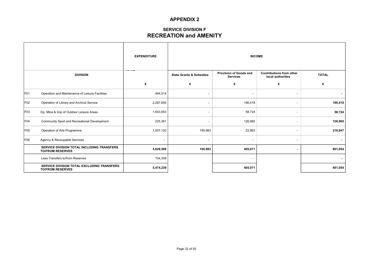### **SERVICE DIVISION F RECREATION and AMENITY**

|                 |                                                                       | <b>EXPENDITURE</b> | <b>INCOME</b>                       |                                           |                                                      |              |
|-----------------|-----------------------------------------------------------------------|--------------------|-------------------------------------|-------------------------------------------|------------------------------------------------------|--------------|
|                 | <b>DIVISION</b>                                                       |                    | <b>State Grants &amp; Subsidies</b> | Provision of Goods and<br><b>Services</b> | <b>Contributions from other</b><br>local authorities | <b>TOTAL</b> |
|                 |                                                                       | €                  | €                                   | €                                         | €                                                    | €            |
| F <sub>01</sub> | Operation and Maintenance of Leisure Facilities                       | 464,514            | $\overline{\phantom{a}}$            |                                           | ٠                                                    |              |
| F <sub>02</sub> | Operation of Library and Archival Service                             | 2,287,650          | $\overline{\phantom{a}}$            | 196,418                                   | $\overline{\phantom{a}}$                             | 196,418      |
| F <sub>03</sub> | Op, Mtce & Imp of Outdoor Leisure Areas                               | 1,643,953          | $\overline{\phantom{0}}$            | 58,724                                    | $\overline{\phantom{a}}$                             | 58,724       |
| F <sub>04</sub> | Community Sport and Recreational Development                          | 225,361            | ۰                                   | 126,965                                   | $\overline{\phantom{a}}$                             | 126,965      |
| F <sub>05</sub> | Operation of Arts Programme                                           | 1,007,120          | 195,983                             | 22,963                                    | $\overline{\phantom{a}}$                             | 218,947      |
| F <sub>06</sub> | Agency & Recoupable Services                                          |                    | $\overline{\phantom{a}}$            |                                           | $\overline{\phantom{a}}$                             |              |
|                 | SERVICE DIVISION TOTAL INCLUDING TRANSFERS<br><b>TO/FROM RESERVES</b> | 5,628,598          | 195,983                             | 405,071                                   | ٠                                                    | 601,054      |
|                 | Less Transfers to/from Reserves                                       | 154,359            |                                     |                                           |                                                      |              |
|                 | SERVICE DIVISION TOTAL EXCLUDING TRANSFERS<br><b>TO/FROM RESERVES</b> | 5,474,239          |                                     | 405,071                                   |                                                      | 601,054      |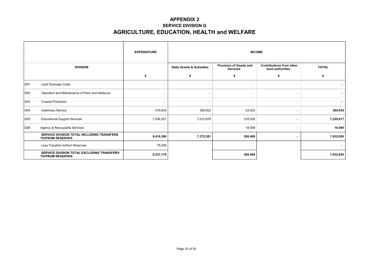### **APPENDIX 2 SERVICE DIVISION G AGRICULTURE, EDUCATION, HEALTH and WELFARE**

|                 |                                                                       | <b>EXPENDITURE</b>       |                                                                                  |         | <b>INCOME</b>                                        |                |  |
|-----------------|-----------------------------------------------------------------------|--------------------------|----------------------------------------------------------------------------------|---------|------------------------------------------------------|----------------|--|
| <b>DIVISION</b> |                                                                       |                          | Provision of Goods and<br><b>State Grants &amp; Subsidies</b><br><b>Services</b> |         | <b>Contributions from other</b><br>local authorities | <b>TOTAL</b>   |  |
|                 |                                                                       | €                        | €                                                                                | €       | €                                                    | €              |  |
| G01             | <b>Land Drainage Costs</b>                                            | -                        |                                                                                  |         | $\overline{\phantom{a}}$                             | ۰.             |  |
| G02             | Operation and Maintenance of Piers and Harbours                       | ٠                        |                                                                                  |         | $\overline{\phantom{a}}$                             | ٠              |  |
| G03             | <b>Coastal Protection</b>                                             | $\overline{\phantom{a}}$ |                                                                                  | $\sim$  | $\overline{\phantom{a}}$                             | $\blacksquare$ |  |
| G04             | <b>Veterinary Service</b>                                             | 479,834                  | 359,502                                                                          | 24,932  | $\overline{\phantom{a}}$                             | 384,434        |  |
| G05             | <b>Educational Support Services</b>                                   | 7,936,551                | 7,012,878                                                                        | 216,938 | $\overline{\phantom{a}}$                             | 7,229,817      |  |
| G06             | Agency & Recoupable Services                                          | ٠                        |                                                                                  | 18,599  | $\overline{\phantom{a}}$                             | 18,599         |  |
|                 | SERVICE DIVISION TOTAL INCLUDING TRANSFERS<br><b>TO/FROM RESERVES</b> | 8,416,386                | 7,372,381                                                                        | 260,469 | $\blacksquare$                                       | 7,632,850      |  |
|                 | Less Transfers to/from Reserves                                       | 79,206                   |                                                                                  |         |                                                      |                |  |
|                 | SERVICE DIVISION TOTAL EXCLUDING TRANSFERS<br><b>TO/FROM RESERVES</b> | 8,337,179                |                                                                                  | 260,469 |                                                      | 7,632,850      |  |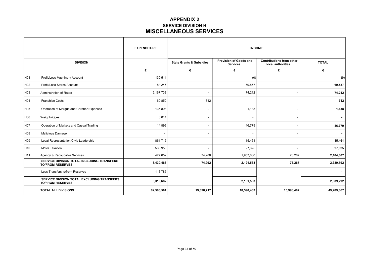### **APPENDIX 2 SERVICE DIVISION H MISCELLANEOUS SERVICES**

|                 |                                                                       | <b>EXPENDITURE</b> | <b>INCOME</b>                       |                                                  |                                                      |              |  |  |
|-----------------|-----------------------------------------------------------------------|--------------------|-------------------------------------|--------------------------------------------------|------------------------------------------------------|--------------|--|--|
|                 | <b>DIVISION</b>                                                       |                    | <b>State Grants &amp; Subsidies</b> | <b>Provision of Goods and</b><br><b>Services</b> | <b>Contributions from other</b><br>local authorities | <b>TOTAL</b> |  |  |
|                 |                                                                       | €                  | €                                   | €                                                | €                                                    | €            |  |  |
| H <sub>01</sub> | Profit/Loss Machinery Account                                         | 130,511            | $\overline{\phantom{a}}$            | (0)                                              | $\overline{\phantom{a}}$                             | (0)          |  |  |
| H <sub>02</sub> | Profit/Loss Stores Account                                            | 84,245             |                                     | 69,557                                           | $\blacksquare$                                       | 69,557       |  |  |
| H <sub>03</sub> | <b>Adminstration of Rates</b>                                         | 6,167,733          |                                     | 74,212                                           |                                                      | 74,212       |  |  |
| H04             | <b>Franchise Costs</b>                                                | 60,850             | 712                                 |                                                  | $\blacksquare$                                       | 712          |  |  |
| H <sub>05</sub> | Operation of Morgue and Coroner Expenses                              | 135,898            |                                     | 1,138                                            | $\overline{\phantom{a}}$                             | 1,138        |  |  |
| H06             | Weighbridges                                                          | 8,014              |                                     |                                                  | $\blacksquare$                                       |              |  |  |
| H07             | Operation of Markets and Casual Trading                               | 14,899             |                                     | 46,779                                           | $\overline{\phantom{a}}$                             | 46,779       |  |  |
| H08             | Malicious Damage                                                      | ۰                  |                                     |                                                  | $\blacksquare$                                       |              |  |  |
| H <sub>09</sub> | Local Representation/Civic Leadership                                 | 861,715            |                                     | 15,461                                           | $\overline{\phantom{a}}$                             | 15,461       |  |  |
| H <sub>10</sub> | Motor Taxation                                                        | 538,950            |                                     | 27,325                                           | $\overline{\phantom{a}}$                             | 27,325       |  |  |
| H <sub>11</sub> | Agency & Recoupable Services                                          | 427,652            | 74,280                              | 1,957,060                                        | 73,267                                               | 2,104,607    |  |  |
|                 | SERVICE DIVISION TOTAL INCLUDING TRANSFERS<br><b>TO/FROM RESERVES</b> | 8,430,468          | 74,992                              | 2,191,533                                        | 73,267                                               | 2,339,792    |  |  |
|                 | Less Transfers to/from Reserves                                       | 113,785            |                                     |                                                  |                                                      |              |  |  |
|                 | SERVICE DIVISION TOTAL EXCLUDING TRANSFERS<br><b>TO/FROM RESERVES</b> | 8,316,682          |                                     | 2,191,533                                        |                                                      | 2,339,792    |  |  |
|                 | <b>TOTAL ALL DIVISIONS</b>                                            | 82,586,501         | 19,620,717                          | 18,590,463                                       | 10,998,487                                           | 49,209,667   |  |  |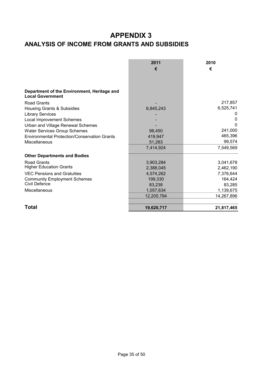# **APPENDIX 3 ANALYSIS OF INCOME FROM GRANTS AND SUBSIDIES**

|                                                     | 2011       | 2010       |
|-----------------------------------------------------|------------|------------|
|                                                     | €          | €          |
|                                                     |            |            |
|                                                     |            |            |
| Department of the Environment, Heritage and         |            |            |
| <b>Local Government</b>                             |            |            |
| <b>Road Grants</b>                                  |            | 217,857    |
| Housing Grants & Subsidies                          | 6,845,243  | 6,525,741  |
| <b>Library Services</b>                             |            |            |
| <b>Local Improvement Schemes</b>                    |            | 0          |
| Urban and Village Renewal Schemes                   |            | 0          |
| <b>Water Services Group Schemes</b>                 | 98,450     | 241,000    |
| <b>Environmental Protection/Conservation Grants</b> | 419,947    | 465,396    |
| Miscellaneous                                       | 51,283     | 99,574     |
|                                                     | 7,414,924  | 7,549,569  |
| <b>Other Departments and Bodies</b>                 |            |            |
| <b>Road Grants</b>                                  | 3,903,284  | 3,041,678  |
| <b>Higher Education Grants</b>                      | 2,388,045  | 2,462,190  |
| <b>VEC Pensions and Gratuities</b>                  | 4,574,262  | 7,376,644  |
| <b>Community Employment Schemes</b>                 | 199,330    | 164,424    |
| Civil Defence                                       | 83,238     | 83,285     |
| Miscellaneous                                       | 1,057,634  | 1,139,675  |
|                                                     | 12,205,794 | 14,267,896 |
| Total                                               | 19,620,717 | 21,817,465 |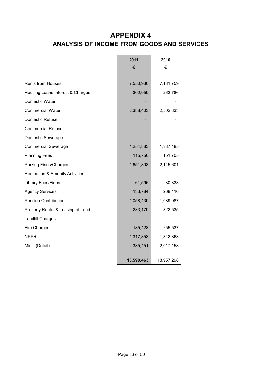# **APPENDIX 4 ANALYSIS OF INCOME FROM GOODS AND SERVICES**

L,

÷

|                                            | 2011       | 2010       |
|--------------------------------------------|------------|------------|
|                                            | €          | €          |
|                                            |            |            |
| <b>Rents from Houses</b>                   | 7,550,936  | 7,181,759  |
| Housing Loans Interest & Charges           | 302,959    | 262,786    |
| Domestic Water                             |            |            |
| <b>Commercial Water</b>                    | 2,388,403  | 2,502,333  |
| Domestic Refuse                            |            |            |
| <b>Commercial Refuse</b>                   |            |            |
| Domestic Sewerage                          |            |            |
| <b>Commercial Sewerage</b>                 | 1,254,883  | 1,387,185  |
| <b>Planning Fees</b>                       | 115,750    | 151,705    |
| Parking Fines/Charges                      | 1,651,803  | 2,145,601  |
| <b>Recreation &amp; Amenity Activities</b> |            |            |
| <b>Library Fees/Fines</b>                  | 61,596     | 30,333     |
| <b>Agency Services</b>                     | 133,784    | 268,416    |
| <b>Pension Contributions</b>               | 1,058,439  | 1,089,087  |
| Property Rental & Leasing of Land          | 233,179    | 322,535    |
| Landfill Charges                           |            |            |
| <b>Fire Charges</b>                        | 185,428    | 255,537    |
| <b>NPPR</b>                                | 1,317,853  | 1,342,863  |
| Misc. (Detail)                             | 2,335,451  | 2,017,158  |
|                                            | 18,590,463 | 18,957,298 |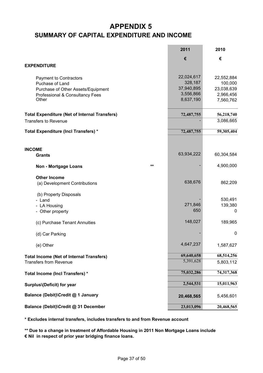# **APPENDIX 5 SUMMARY OF CAPITAL EXPENDITURE AND INCOME**

|                                                      | 2011       | 2010       |
|------------------------------------------------------|------------|------------|
|                                                      | €          | €          |
| <b>EXPENDITURE</b>                                   |            |            |
|                                                      |            |            |
| Payment to Contractors                               | 22,024,617 | 22,552,884 |
| Puchase of Land                                      | 328,187    | 100,000    |
| Purchase of Other Assets/Equipment                   | 37,940,895 | 23,038,639 |
| Professional & Consultancy Fees                      | 3,556,866  | 2,966,456  |
| Other                                                | 8,637,190  | 7,560,762  |
| <b>Total Expenditure (Net of Internal Transfers)</b> | 72,487,755 | 56,218,740 |
| <b>Transfers to Revenue</b>                          |            | 3,086,665  |
|                                                      |            |            |
| Total Expenditure (Incl Transfers) *                 | 72,487,755 | 59,305,404 |
|                                                      |            |            |
| <b>INCOME</b>                                        |            |            |
| <b>Grants</b>                                        | 63,934,222 | 60,304,584 |
| **<br><b>Non - Mortgage Loans</b>                    |            | 4,900,000  |
| <b>Other Income</b>                                  |            |            |
| (a) Development Contributions                        | 638,676    | 862,209    |
| (b) Property Disposals                               |            |            |
| - Land                                               |            | 530,491    |
| - LA Housing                                         | 271,846    | 139,380    |
| - Other property                                     | 650        | 0          |
| (c) Purchase Tenant Annuities                        | 148,027    | 189,965    |
| (d) Car Parking                                      |            | 0          |
| (e) Other                                            | 4,647,237  | 1,587,627  |
| <b>Total Income (Net of Internal Transfers)</b>      | 69,640,658 | 68,514,256 |
| <b>Transfers from Revenue</b>                        | 5,391,628  | 5,803,112  |
| Total Income (Incl Transfers) *                      | 75,032,286 | 74,317,368 |
| Surplus\(Deficit) for year                           | 2,544,531  | 15,011,963 |
| Balance (Debit)\Credit @ 1 January                   | 20,468,565 | 5,456,601  |
| Balance (Debit)\Credit @ 31 December                 | 23,013,096 | 20,468,565 |

**\* Excludes internal transfers, includes transfers to and from Revenue account**

**\*\* Due to a change in treatment of Affordable Housing in 2011 Non Mortgage Loans include € Nil in respect of prior year bridging finance loans.**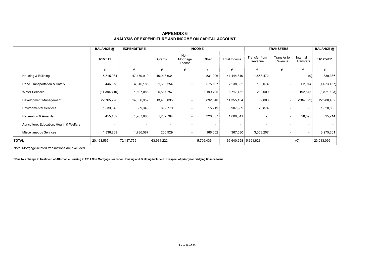|                                          | <b>BALANCE</b> @ | <b>EXPENDITURE</b> |            | <b>INCOME</b>              |           |                      | <b>TRANSFERS</b>         |                          |                          | <b>BALANCE</b> @ |
|------------------------------------------|------------------|--------------------|------------|----------------------------|-----------|----------------------|--------------------------|--------------------------|--------------------------|------------------|
|                                          | 1/1/2011         |                    | Grants     | Non-<br>Mortgage<br>Loans* | Other     | Total Income         | Transfer from<br>Revenue | Transfer to<br>Revenue   | Internal<br>Transfers    | 31/12/2011       |
|                                          | €                | €                  | €          | €                          | €         | €                    | €                        | €                        | €                        | €                |
| Housing & Building                       | 5,315,984        | 47,479,910         | 40,913,634 | $\overline{\phantom{a}}$   | 531,206   | 41,444,840           | 1,558,472                |                          | (0)                      | 839,386          |
| Road Transportation & Safety             | 446,678          | 4,610,185          | 1,663,254  |                            | 575,107   | 2,238,362            | 189,074                  | $\overline{\phantom{a}}$ | 62,914                   | (1,673,157)      |
| <b>Water Services</b>                    | (11,384,410)     | 1,597,088          | 5,517,757  | $\overline{\phantom{a}}$   | 3,199,705 | 8,717,462            | 200,000                  | $\overline{\phantom{a}}$ | 192,513                  | (3,871,523)      |
| Development Management                   | 22,765,296       | 14,556,957         | 13,463,095 | ۰                          | 892,040   | 14,355,134           | 9,000                    | $\overline{a}$           | (284, 022)               | 22,288,452       |
| <b>Environmental Services</b>            | 1,533,345        | 689,345            | 892,770    | $\overline{\phantom{a}}$   | 15,219    | 907,989              | 76,874                   |                          | $\overline{\phantom{a}}$ | 1,828,863        |
| Recreation & Amenity                     | 455,462          | 1,767,683          | 1,282,784  | ۰                          | 326,557   | 1,609,341            |                          | $\overline{a}$           | 28,595                   | 325,714          |
| Agriculture, Education, Health & Welfare | $\sim$           |                    |            |                            |           | ٠                    |                          |                          | $\overline{\phantom{a}}$ |                  |
| Miscellaneous Services                   | 1,336,209        | 1,786,587          | 200,929    |                            | 166,602   | 367,530              | 3,358,207                |                          | $\overline{\phantom{a}}$ | 3,275,361        |
| <b>TOTAL</b>                             | 20,468,565       | 72,487,755         | 63,934,222 |                            | 5,706,436 | 69,640,658 5,391,628 |                          |                          | (0)                      | 23,013,096       |

#### **APPENDIX 6 ANALYSIS OF EXPENDITURE AND INCOME ON CAPITAL ACCOUNT**

Note: Mortgage-related transactions are excluded

**\* Due to a change in treatment of Affordable Housing in 2011 Non Mortgage Loans for Housing and Building include € in respect of prior year bridging finance loans.**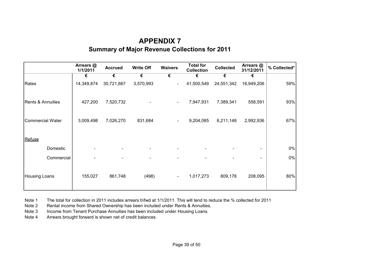# **APPENDIX 7 Summary of Major Revenue Collections for 2011**

|                         | Arrears @<br>1/1/2011 | <b>Accrued</b> | <b>Write Off</b> | <b>Waivers</b>           | <b>Total for</b><br><b>Collection</b> | <b>Collected</b> | Arrears @<br>31/12/2011 | % Collected* |
|-------------------------|-----------------------|----------------|------------------|--------------------------|---------------------------------------|------------------|-------------------------|--------------|
|                         | €                     | €              | €                | €                        | €                                     | €                | €                       |              |
| Rates                   | 14,349,874            | 30,721,667     | 3,570,993        | $\overline{\phantom{a}}$ | 41,500,549                            | 24,551,342       | 16,949,206              | 59%          |
| Rents & Annuities       | 427,200               | 7,520,732      |                  | $\blacksquare$           | 7,947,931                             | 7,389,341        | 558,591                 | 93%          |
| <b>Commercial Water</b> | 3,009,498             | 7,026,270      | 831,684          | $\blacksquare$           | 9,204,085                             | 6,211,148        | 2,992,936               | 67%          |
| Refuse                  |                       |                |                  |                          |                                       |                  |                         |              |
| Domestic                |                       |                |                  |                          |                                       |                  |                         | $0\%$        |
| Commercial              |                       |                |                  |                          |                                       |                  |                         | $0\%$        |
| <b>Housing Loans</b>    | 155,027               | 861,748        | (498)            | $\blacksquare$           | 1,017,273                             | 809,178          | 208,095                 | 80%          |

Note 1 The total for collection in 2011 includes arrears b\fwd at 1/1/2011. This will tend to reduce the % collected for 2011

Note 2 Rental income from Shared Ownership has been included under Rents & Annuities.

Note 3 Income from Tenant Purchase Annuities has been included under Housing Loans.

Note 4 Arrears brought forward is shown net of credit balances.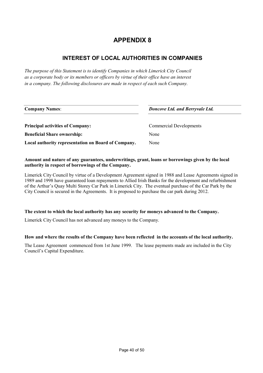## **INTEREST OF LOCAL AUTHORITIES IN COMPANIES**

*The purpose of this Statement is to identify Companies in which Limerick City Council as a corporate body or its members or officers by virtue of their office have an interest in a company. The following disclosures are made in respect of each such Company.*

| <b>Company Names:</b>                               | Doncove Ltd. and Berryvale Ltd. |  |  |  |
|-----------------------------------------------------|---------------------------------|--|--|--|
| <b>Principal activities of Company:</b>             | <b>Commercial Developments</b>  |  |  |  |
| <b>Beneficial Share ownership:</b>                  | None                            |  |  |  |
| Local authority representation on Board of Company. | None                            |  |  |  |

#### **Amount and nature of any guarantees, underwritings, grant, loans or borrowings given by the local authority in respect of borrowings of the Company.**

Limerick City Council by virtue of a Development Agreement signed in 1988 and Lease Agreements signed in 1989 and 1998 have guaranteed loan repayments to Allied Irish Banks for the development and refurbishment of the Arthur's Quay Multi Storey Car Park in Limerick City. The eventual purchase of the Car Park by the City Council is secured in the Agreements. It is proposed to purchase the car park during 2012.

#### **The extent to which the local authority has any security for moneys advanced to the Company.**

Limerick City Council has not advanced any moneys to the Company.

#### **How and where the results of the Company have been reflected in the accounts of the local authority.**

The Lease Agreement commenced from 1st June 1999. The lease payments made are included in the City Council's Capital Expenditure.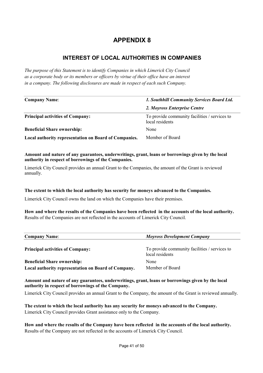## **INTEREST OF LOCAL AUTHORITIES IN COMPANIES**

*The purpose of this Statement is to identify Companies in which Limerick City Council as a corporate body or its members or officers by virtue of their office have an interest in a company. The following disclosures are made in respect of each such Company.*

| <b>Company Name:</b>                                  | 1. Southhill Community Services Board Ltd.                       |  |  |  |
|-------------------------------------------------------|------------------------------------------------------------------|--|--|--|
|                                                       | 2. Moyross Enterprise Centre                                     |  |  |  |
| <b>Principal activities of Company:</b>               | To provide community facilities / services to<br>local residents |  |  |  |
| <b>Beneficial Share ownership:</b>                    | None                                                             |  |  |  |
| Local authority representation on Board of Companies. | Member of Board                                                  |  |  |  |

**Amount and nature of any guarantees, underwritings, grant, loans or borrowings given by the local authority in respect of borrowings of the Companies.** 

Limerick City Council provides an annual Grant to the Companies, the amount of the Grant is reviewed annually.

#### **The extent to which the local authority has security for moneys advanced to the Companies.**

Limerick City Council owns the land on which the Companies have their premises.

**How and where the results of the Companies have been reflected in the accounts of the local authority.** Results of the Companies are not reflected in the accounts of Limerick City Council.

| <b>Company Name:</b>                                | <b>Moyross Development Company</b>                               |
|-----------------------------------------------------|------------------------------------------------------------------|
| <b>Principal activities of Company:</b>             | To provide community facilities / services to<br>local residents |
| <b>Beneficial Share ownership:</b>                  | None                                                             |
| Local authority representation on Board of Company. | Member of Board                                                  |

**Amount and nature of any guarantees, underwritings, grant, loans or borrowings given by the local authority in respect of borrowings of the Company.** 

Limerick City Council provides an annual Grant to the Company, the amount of the Grant is reviewed annually.

**The extent to which the local authority has any security for moneys advanced to the Company.**  Limerick City Council provides Grant assistance only to the Company.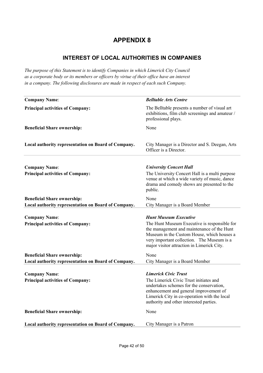### **INTEREST OF LOCAL AUTHORITIES IN COMPANIES**

*The purpose of this Statement is to identify Companies in which Limerick City Council as a corporate body or its members or officers by virtue of their office have an interest in a company. The following disclosures are made in respect of each such Company.*

| <b>Company Name:</b>                                                                      | <b>Belltable Arts Centre</b>                                                                                                                                                                                                                                         |
|-------------------------------------------------------------------------------------------|----------------------------------------------------------------------------------------------------------------------------------------------------------------------------------------------------------------------------------------------------------------------|
| <b>Principal activities of Company:</b>                                                   | The Belltable presents a number of visual art<br>exhibitions, film club screenings and amateur /<br>professional plays.                                                                                                                                              |
| <b>Beneficial Share ownership:</b>                                                        | None                                                                                                                                                                                                                                                                 |
| Local authority representation on Board of Company.                                       | City Manager is a Director and S. Deegan, Arts<br>Officer is a Director.                                                                                                                                                                                             |
| <b>Company Name:</b><br><b>Principal activities of Company:</b>                           | <b>University Concert Hall</b><br>The University Concert Hall is a multi purpose<br>venue at which a wide variety of music, dance<br>drama and comedy shows are presented to the<br>public.                                                                          |
| <b>Beneficial Share ownership:</b><br>Local authority representation on Board of Company. | None<br>City Manager is a Board Member                                                                                                                                                                                                                               |
| <b>Company Name:</b><br><b>Principal activities of Company:</b>                           | <b>Hunt Museum Executive</b><br>The Hunt Museum Executive is responsible for<br>the management and maintenance of the Hunt<br>Museum in the Custom House, which houses a<br>very important collection. The Museum is a<br>major visitor attraction in Limerick City. |
| <b>Beneficial Share ownership:</b><br>Local authority representation on Board of Company. | None<br>City Manager is a Board Member                                                                                                                                                                                                                               |
| <b>Company Name:</b><br><b>Principal activities of Company:</b>                           | <b>Limerick Civic Trust</b><br>The Limerick Civic Trust initiates and<br>undertakes schemes for the conservation,<br>enhancement and general improvement of<br>Limerick City in co-operation with the local<br>authority and other interested parties.               |
| <b>Beneficial Share ownership:</b>                                                        | None                                                                                                                                                                                                                                                                 |
| Local authority representation on Board of Company.                                       | City Manager is a Patron                                                                                                                                                                                                                                             |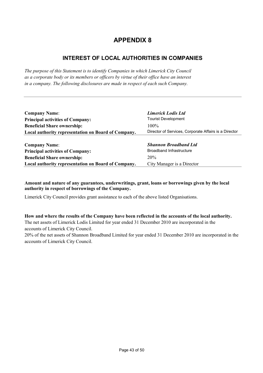## **INTEREST OF LOCAL AUTHORITIES IN COMPANIES**

*The purpose of this Statement is to identify Companies in which Limerick City Council as a corporate body or its members or officers by virtue of their office have an interest in a company. The following disclosures are made in respect of each such Company.*

| <b>Company Name:</b>                                | <b>Limerick Lodis Ltd</b>                             |
|-----------------------------------------------------|-------------------------------------------------------|
| <b>Principal activities of Company:</b>             | <b>Tourist Development</b>                            |
| <b>Beneficial Share ownership:</b>                  | $100\%$                                               |
| Local authority representation on Board of Company. | Director of Services, Corporate Affairs is a Director |
|                                                     |                                                       |
| <b>Company Name:</b>                                | <b>Shannon Broadband Ltd</b>                          |
| <b>Principal activities of Company:</b>             | <b>Broadband Infrastructure</b>                       |
| <b>Beneficial Share ownership:</b>                  | 20%                                                   |
| Local authority representation on Board of Company. | City Manager is a Director                            |

#### **Amount and nature of any guarantees, underwritings, grant, loans or borrowings given by the local authority in respect of borrowings of the Company.**

Limerick City Council provides grant assistance to each of the above listed Organisations.

**How and where the results of the Company have been reflected in the accounts of the local authority.** The net assets of Limerick Lodis Limited for year ended 31 December 2010 are incorporated in the

accounts of Limerick City Council.

20% of the net assets of Shannon Broadband Limited for year ended 31 December 2010 are incorporated in the accounts of Limerick City Council.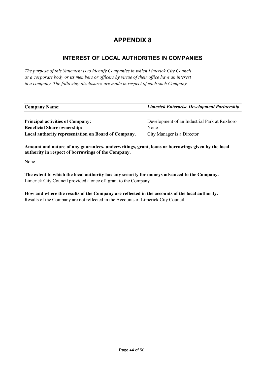# **INTEREST OF LOCAL AUTHORITIES IN COMPANIES**

*The purpose of this Statement is to identify Companies in which Limerick City Council as a corporate body or its members or officers by virtue of their office have an interest in a company. The following disclosures are made in respect of each such Company.*

| <b>Company Name:</b>                                | Limerick Enterprise Development Partnership  |
|-----------------------------------------------------|----------------------------------------------|
|                                                     |                                              |
| <b>Principal activities of Company:</b>             | Development of an Industrial Park at Roxboro |
| <b>Beneficial Share ownership:</b>                  | None                                         |
| Local authority representation on Board of Company. | City Manager is a Director                   |

**Amount and nature of any guarantees, underwritings, grant, loans or borrowings given by the local authority in respect of borrowings of the Company.** 

None

**The extent to which the local authority has any security for moneys advanced to the Company.**  Limerick City Council provided a once off grant to the Company.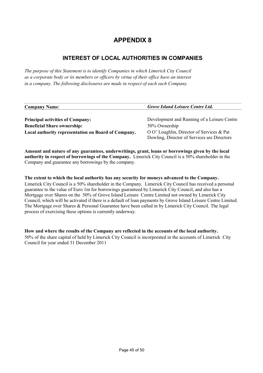## **INTEREST OF LOCAL AUTHORITIES IN COMPANIES**

*The purpose of this Statement is to identify Companies in which Limerick City Council as a corporate body or its members or officers by virtue of their office have an interest in a company. The following disclosures are made in respect of each such Company.*

| <b>Company Name:</b>                                | <b>Grove Island Leisure Centre Ltd.</b>     |
|-----------------------------------------------------|---------------------------------------------|
|                                                     |                                             |
| <b>Principal activities of Company:</b>             | Development and Running of a Leisure Centre |
| <b>Beneficial Share ownership:</b>                  | 50% Ownership                               |
| Local authority representation on Board of Company. | O O' Loughlin, Director of Services & Pat   |
|                                                     | Dowling, Director of Services are Directors |

**Amount and nature of any guarantees, underwritings, grant, loans or borrowings given by the local authority in respect of borrowings of the Company.** Limerick City Council is a 50% shareholder in the Company and guarantee any borrowings by the company.

#### **The extent to which the local authority has any security for moneys advanced to the Company.**

Limerick City Council is a 50% shareholder in the Company. Limerick City Council has received a personal guarantee to the value of Euro 1m for borrowings guaranteed by Limerick City Council, and also has a Mortgage over Shares on the 50% of Grove Island Leisure Centre Limited not owned by Limerick City Council, which will be activated if there is a default of loan payments by Grove Island Leisure Centre Limited. The Mortgage over Shares & Personal Guarantee have been called in by Limerick City Council. The legal process of exercising these options is currently underway.

#### **How and where the results of the Company are reflected in the accounts of the local authority.**

50% of the share capital of held by Limerick City Council is incorporated in the accounts of Limerick City Council for year ended 31 December 2011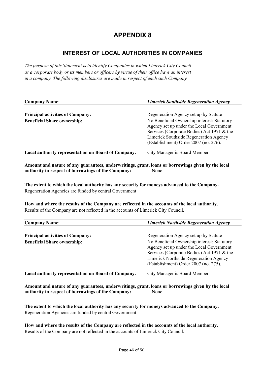## **INTEREST OF LOCAL AUTHORITIES IN COMPANIES**

*The purpose of this Statement is to identify Companies in which Limerick City Council as a corporate body or its members or officers by virtue of their office have an interest in a company. The following disclosures are made in respect of each such Company.*

| <b>Company Name:</b>                                | <b>Limerick Southside Regeneration Agency</b>                                                                                                                                                                            |
|-----------------------------------------------------|--------------------------------------------------------------------------------------------------------------------------------------------------------------------------------------------------------------------------|
| <b>Principal activities of Company:</b>             | Regeneration Agency set up by Statute                                                                                                                                                                                    |
| <b>Beneficial Share ownership:</b>                  | No Beneficial Ownership interest: Statutory<br>Agency set up under the Local Government<br>Services (Corporate Bodies) Act 1971 & the<br>Limerick Southside Regeneration Agency<br>(Establishment) Order 2007 (no. 276). |
| Local authority representation on Board of Company. | City Manager is Board Member                                                                                                                                                                                             |

**Amount and nature of any guarantees, underwritings, grant, loans or borrowings given by the local authority in respect of borrowings of the Company:** None

**The extent to which the local authority has any security for moneys advanced to the Company.**  Regeneration Agencies are funded by central Government

**How and where the results of the Company are reflected in the accounts of the local authority.** Results of the Company are not reflected in the accounts of Limerick City Council.

| <b>Company Name:</b>                                                          | <b>Limerick Northside Regeneration Agency</b>                                                                                                                                                                                                                     |
|-------------------------------------------------------------------------------|-------------------------------------------------------------------------------------------------------------------------------------------------------------------------------------------------------------------------------------------------------------------|
| <b>Principal activities of Company:</b><br><b>Beneficial Share ownership:</b> | Regeneration Agency set up by Statute<br>No Beneficial Ownership interest: Statutory<br>Agency set up under the Local Government<br>Services (Corporate Bodies) Act 1971 & the<br>Limerick Northside Regeneration Agency<br>(Establishment) Order 2007 (no. 275). |
| Local authority representation on Board of Company.                           | City Manager is Board Member                                                                                                                                                                                                                                      |

**Amount and nature of any guarantees, underwritings, grant, loans or borrowings given by the local authority in respect of borrowings of the Company:** None

**The extent to which the local authority has any security for moneys advanced to the Company.**  Regeneration Agencies are funded by central Government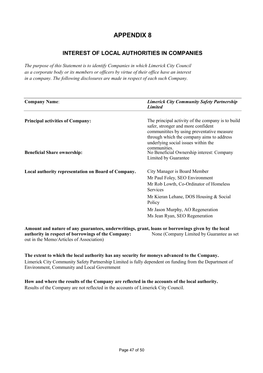# **INTEREST OF LOCAL AUTHORITIES IN COMPANIES**

*The purpose of this Statement is to identify Companies in which Limerick City Council as a corporate body or its members or officers by virtue of their office have an interest in a company. The following disclosures are made in respect of each such Company.*

| <b>Company Name:</b>                                                          | <b>Limerick City Community Safety Partnership</b><br><b>Limited</b>                                                                                                                                                                                                                                             |
|-------------------------------------------------------------------------------|-----------------------------------------------------------------------------------------------------------------------------------------------------------------------------------------------------------------------------------------------------------------------------------------------------------------|
| <b>Principal activities of Company:</b><br><b>Beneficial Share ownership:</b> | The principal activity of the company is to build<br>safer, stronger and more confident<br>communitities by using preventative measure<br>through which the company aims to address<br>underlying social issues within the<br>communities.<br>No Beneficial Ownership interest: Company<br>Limited by Guarantee |
| Local authority representation on Board of Company.                           | City Manager is Board Member<br>Mr Paul Foley, SEO Environment<br>Mr Rob Lowth, Co-Ordinator of Homeless<br><b>Services</b><br>Mr Kieran Lehane, DOS Housing & Social<br>Policy<br>Mr Jason Murphy, AO Regeneration                                                                                             |
|                                                                               | Ms Jean Ryan, SEO Regeneration                                                                                                                                                                                                                                                                                  |

**Amount and nature of any guarantees, underwritings, grant, loans or borrowings given by the local authority in respect of borrowings of the Company:** None (Company Limited by Guarantee as set out in the Memo/Articles of Association)

**The extent to which the local authority has any security for moneys advanced to the Company.**  Limerick City Community Safety Partnership Limited is fully dependent on funding from the Department of Environment, Community and Local Government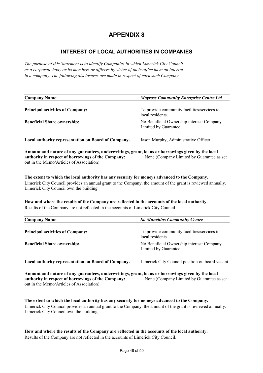### **INTEREST OF LOCAL AUTHORITIES IN COMPANIES**

*The purpose of this Statement is to identify Companies in which Limerick City Council as a corporate body or its members or officers by virtue of their office have an interest in a company. The following disclosures are made in respect of each such Company.*

| <b>Company Name:</b>                                                                              | <b>Moyross Community Enterprise Centre Ltd</b>                    |
|---------------------------------------------------------------------------------------------------|-------------------------------------------------------------------|
|                                                                                                   |                                                                   |
| <b>Principal activities of Company:</b>                                                           | To provide community facilities/services to<br>local residents.   |
| <b>Beneficial Share ownership:</b>                                                                | No Beneficial Ownership interest: Company<br>Limited by Guarantee |
| Local authority representation on Board of Company.                                               | Jason Murphy, Administrative Officer                              |
| Amount and nature of any guarantees, underwritings, grant, loans or borrowings given by the local |                                                                   |
| authority in respect of borrowings of the Company:<br>out in the Memo/Articles of Association)    | None (Company Limited by Guarantee as set                         |

**The extent to which the local authority has any security for moneys advanced to the Company.**  Limerick City Council provides an annual grant to the Company, the amount of the grant is reviewed annually. Limerick City Council own the building.

**How and where the results of the Company are reflected in the accounts of the local authority.** Results of the Company are not reflected in the accounts of Limerick City Council.

| <b>Company Name:</b>                                                                              | <b>St. Munchins Community Centre</b>                              |
|---------------------------------------------------------------------------------------------------|-------------------------------------------------------------------|
| <b>Principal activities of Company:</b>                                                           | To provide community facilities/services to<br>local residents.   |
| <b>Beneficial Share ownership:</b>                                                                | No Beneficial Ownership interest: Company<br>Limited by Guarantee |
| Local authority representation on Board of Company.                                               | Limerick City Council position on board vacant                    |
| Amount and nature of any guarantees, underwritings, grant, loans or borrowings given by the local |                                                                   |

**authority in respect of borrowings of the Company:** None (Company Limited by Guarantee as set out in the Memo/Articles of Association)

**The extent to which the local authority has any security for moneys advanced to the Company.**  Limerick City Council provides an annual grant to the Company, the amount of the grant is reviewed annually. Limerick City Council own the building.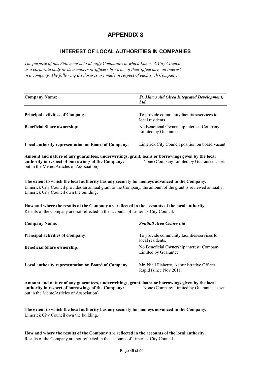### **INTEREST OF LOCAL AUTHORITIES IN COMPANIES**

*The purpose of this Statement is to identify Companies in which Limerick City Council as a corporate body or its members or officers by virtue of their office have an interest in a company. The following disclosures are made in respect of each such Company.*

| <b>Company Name:</b>                                                                                           | <b>St. Marys Aid (Area Integrated Development)</b><br>Ltd.        |
|----------------------------------------------------------------------------------------------------------------|-------------------------------------------------------------------|
| <b>Principal activities of Company:</b>                                                                        | To provide community facilities/services to<br>local residents.   |
| <b>Beneficial Share ownership:</b>                                                                             | No Beneficial Ownership interest: Company<br>Limited by Guarantee |
| Local authority representation on Board of Company.                                                            | Limerick City Council position on board vacant                    |
| A contract the Home of the contract of the state of the contract of the contract of the Home Home Home Home Ho |                                                                   |

**Amount and nature of any guarantees, underwritings, grant, loans or borrowings given by the local authority in respect of borrowings of the Company:** None (Company Limited by Guarantee as set out in the Memo/Articles of Association)

**The extent to which the local authority has any security for moneys advanced to the Company.**  Limerick City Council provides an annual grant to the Company, the amount of the grant is reviewed annually. Limerick City Council own the building.

**How and where the results of the Company are reflected in the accounts of the local authority.** Results of the Company are not reflected in the accounts of Limerick City Council.

| <b>Company Name:</b>                                | <b>Southill Area Centre Ltd</b>                                       |
|-----------------------------------------------------|-----------------------------------------------------------------------|
| <b>Principal activities of Company:</b>             | To provide community facilities/services to<br>local residents.       |
| <b>Beneficial Share ownership:</b>                  | No Beneficial Ownership interest: Company<br>Limited by Guarantee     |
| Local authority representation on Board of Company. | Mr. Niall Flaherty, Administrative Officer,<br>Rapid (since Nov 2011) |

**Amount and nature of any guarantees, underwritings, grant, loans or borrowings given by the local authority in respect of borrowings of the Company:** None (Company Limited by Guarantee as set out in the Memo/Articles of Association)

**The extent to which the local authority has any security for moneys advanced to the Company.**  Limerick City Council own the building.